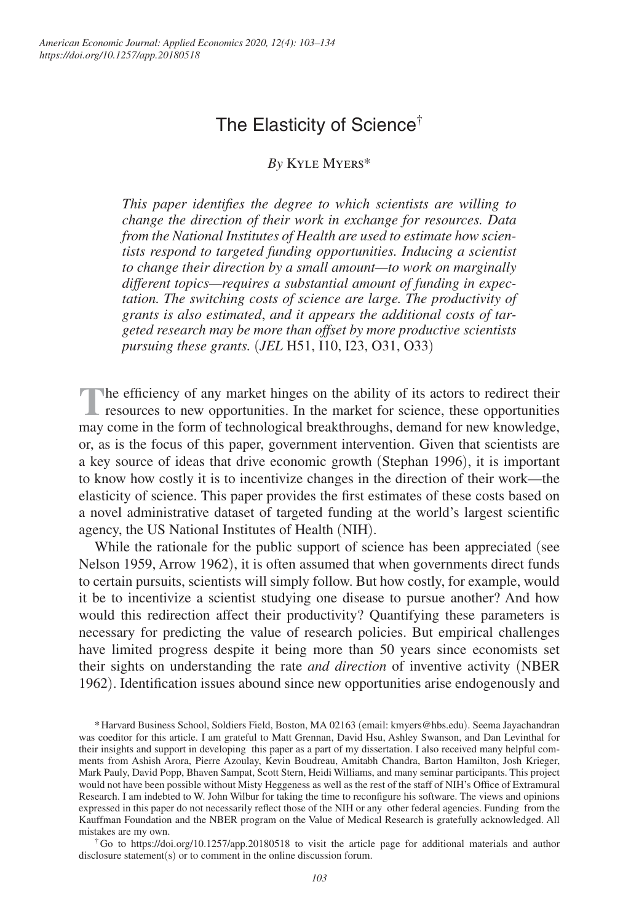# The Elasticity of Science<sup>†</sup>

## *By* Kyle Myers\*

*This paper identifies the degree to which scientists are willing to change the direction of their work in exchange for resources. Data from the National Institutes of Health are used to estimate how scientists respond to targeted funding opportunities. Inducing a scientist to change their direction by a small amount—to work on marginally different topics—requires a substantial amount of funding in expectation. The switching costs of science are large. The productivity of grants is also estimated*, *and it appears the additional costs of targeted research may be more than offset by more productive scientists pursuing these grants.* (*JEL* H51, I10, I23, O31, O33)

The efficiency of any market hinges on the ability of its actors to redirect their resources to new opportunities. In the market for science, these opportunities he efficiency of any market hinges on the ability of its actors to redirect their may come in the form of technological breakthroughs, demand for new knowledge, or, as is the focus of this paper, government intervention. Given that scientists are a key source of ideas that drive economic growth (Stephan 1996), it is important to know how costly it is to incentivize changes in the direction of their work—the elasticity of science. This paper provides the first estimates of these costs based on a novel administrative dataset of targeted funding at the world's largest scientific agency, the US National Institutes of Health (NIH).

While the rationale for the public support of science has been appreciated (see Nelson 1959, Arrow 1962), it is often assumed that when governments direct funds to certain pursuits, scientists will simply follow. But how costly, for example, would it be to incentivize a scientist studying one disease to pursue another? And how would this redirection affect their productivity? Quantifying these parameters is necessary for predicting the value of research policies. But empirical challenges have limited progress despite it being more than 50 years since economists set their sights on understanding the rate *and direction* of inventive activity (NBER 1962). Identification issues abound since new opportunities arise endogenously and

\* Harvard Business School, Soldiers Field, Boston, MA 02163 (email: kmyers@hbs.edu). Seema Jayachandran was coeditor for this article. I am grateful to Matt Grennan, David Hsu, Ashley Swanson, and Dan Levinthal for their insights and support in developing this paper as a part of my dissertation. I also received many helpful comments from Ashish Arora, Pierre Azoulay, Kevin Boudreau, Amitabh Chandra, Barton Hamilton, Josh Krieger, Mark Pauly, David Popp, Bhaven Sampat, Scott Stern, Heidi Williams, and many seminar participants. This project would not have been possible without Misty Heggeness as well as the rest of the staff of NIH's Office of Extramural Research. I am indebted to W. John Wilbur for taking the time to reconfigure his software. The views and opinions expressed in this paper do not necessarily reflect those of the NIH or any other federal agencies. Funding from the Kauffman Foundation and the NBER program on the Value of Medical Research is gratefully acknowledged. All mistakes are my own.

† Go to https://doi.org/10.1257/app.20180518 to visit the article page for additional materials and author disclosure statement(s) or to comment in the online discussion forum.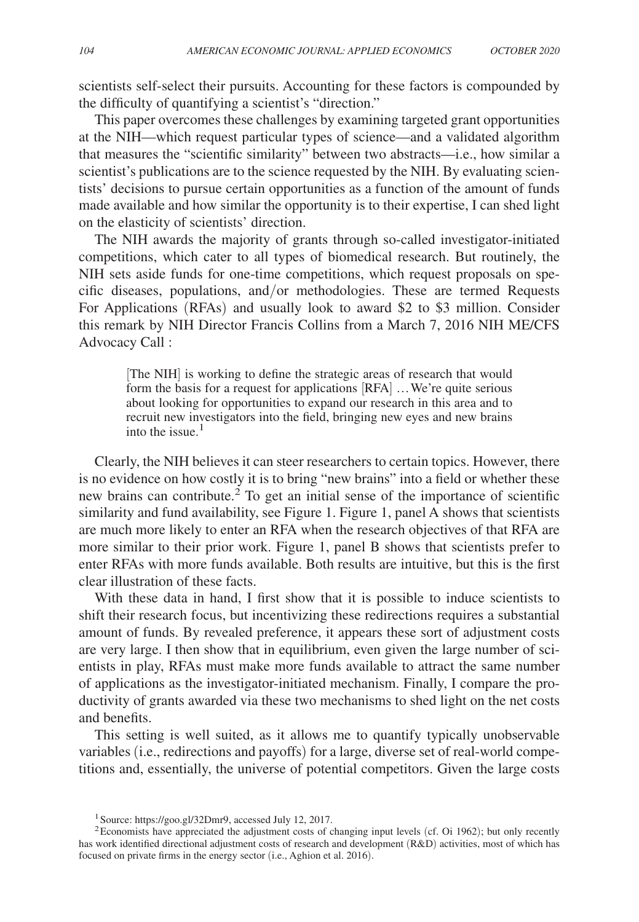scientists self-select their pursuits. Accounting for these factors is compounded by the difficulty of quantifying a scientist's "direction."

This paper overcomes these challenges by examining targeted grant opportunities at the NIH—which request particular types of science—and a validated algorithm that measures the "scientific similarity" between two abstracts—i.e., how similar a scientist's publications are to the science requested by the NIH. By evaluating scientists' decisions to pursue certain opportunities as a function of the amount of funds made available and how similar the opportunity is to their expertise, I can shed light on the elasticity of scientists' direction.

The NIH awards the majority of grants through so-called investigator-initiated competitions, which cater to all types of biomedical research. But routinely, the NIH sets aside funds for one-time competitions, which request proposals on specific diseases, populations, and/or methodologies. These are termed Requests For Applications (RFAs) and usually look to award \$2 to \$3 million. Consider this remark by NIH Director Francis Collins from a March 7, 2016 NIH ME/CFS Advocacy Call :

[The NIH] is working to define the strategic areas of research that would form the basis for a request for applications [RFA]… We're quite serious about looking for opportunities to expand our research in this area and to recruit new investigators into the field, bringing new eyes and new brains into the issue. $<sup>1</sup>$ </sup>

Clearly, the NIH believes it can steer researchers to certain topics. However, there is no evidence on how costly it is to bring "new brains" into a field or whether these new brains can contribute.<sup>2</sup> To get an initial sense of the importance of scientific similarity and fund availability, see Figure 1. Figure 1, panel A shows that scientists are much more likely to enter an RFA when the research objectives of that RFA are more similar to their prior work. Figure 1, panel B shows that scientists prefer to enter RFAs with more funds available. Both results are intuitive, but this is the first clear illustration of these facts.

With these data in hand, I first show that it is possible to induce scientists to shift their research focus, but incentivizing these redirections requires a substantial amount of funds. By revealed preference, it appears these sort of adjustment costs are very large. I then show that in equilibrium, even given the large number of scientists in play, RFAs must make more funds available to attract the same number of applications as the investigator-initiated mechanism. Finally, I compare the productivity of grants awarded via these two mechanisms to shed light on the net costs and benefits.

This setting is well suited, as it allows me to quantify typically unobservable variables (i.e., redirections and payoffs) for a large, diverse set of real-world competitions and, essentially, the universe of potential competitors. Given the large costs

<sup>1</sup>Source: https://goo.gl/32Dmr9, accessed July 12, 2017.

<sup>&</sup>lt;sup>2</sup>Economists have appreciated the adjustment costs of changing input levels (cf. Oi 1962); but only recently has work identified directional adjustment costs of research and development (R&D) activities, most of which has focused on private firms in the energy sector (i.e., Aghion et al. 2016).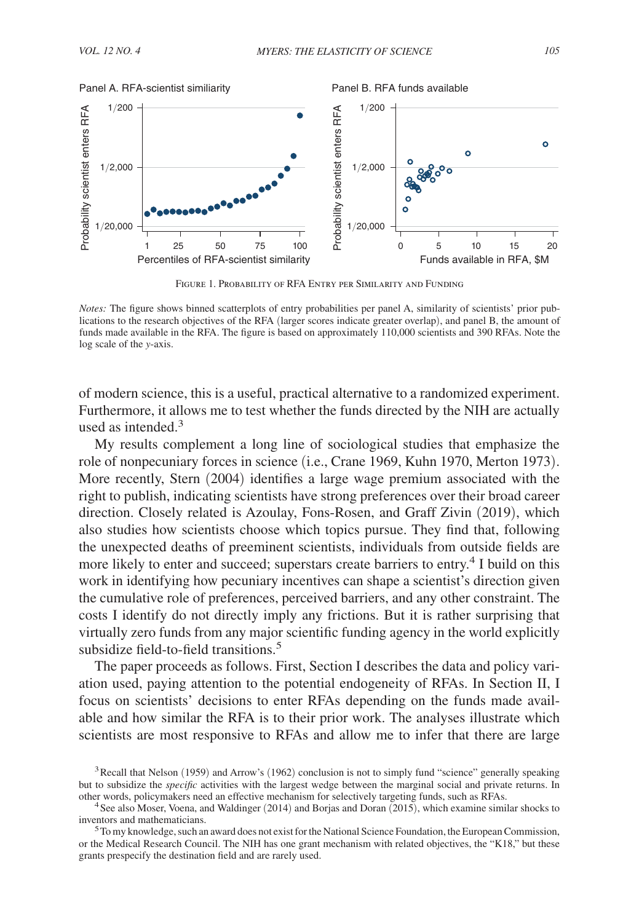

Figure 1. Probability of RFA Entry per Similarity and Funding

of modern science, this is a useful, practical alternative to a randomized experiment. Furthermore, it allows me to test whether the funds directed by the NIH are actually used as intended. $3$ 

My results complement a long line of sociological studies that emphasize the role of nonpecuniary forces in science (i.e., Crane 1969, Kuhn 1970, Merton 1973). More recently, Stern (2004) identifies a large wage premium associated with the right to publish, indicating scientists have strong preferences over their broad career direction. Closely related is Azoulay, Fons-Rosen, and Graff Zivin (2019), which also studies how scientists choose which topics pursue. They find that, following the unexpected deaths of preeminent scientists, individuals from outside fields are more likely to enter and succeed; superstars create barriers to entry.<sup>4</sup> I build on this work in identifying how pecuniary incentives can shape a scientist's direction given the cumulative role of preferences, perceived barriers, and any other constraint. The costs I identify do not directly imply any frictions. But it is rather surprising that virtually zero funds from any major scientific funding agency in the world explicitly subsidize field-to-field transitions.<sup>5</sup>

The paper proceeds as follows. First, Section I describes the data and policy variation used, paying attention to the potential endogeneity of RFAs. In Section II, I focus on scientists' decisions to enter RFAs depending on the funds made available and how similar the RFA is to their prior work. The analyses illustrate which scientists are most responsive to RFAs and allow me to infer that there are large

*Notes:* The figure shows binned scatterplots of entry probabilities per panel A, similarity of scientists' prior publications to the research objectives of the RFA (larger scores indicate greater overlap), and panel B, the amount of funds made available in the RFA. The figure is based on approximately 110,000 scientists and 390 RFAs. Note the log scale of the *y*-axis.

<sup>&</sup>lt;sup>3</sup> Recall that Nelson (1959) and Arrow's (1962) conclusion is not to simply fund "science" generally speaking but to subsidize the *specific* activities with the largest wedge between the marginal social and private returns. In other words, policymakers need an effective mechanism for selectively targeting funds, such as RFAs.

<sup>&</sup>lt;sup>4</sup> See also Moser, Voena, and Waldinger (2014) and Borjas and Doran (2015), which examine similar shocks to inventors and mathematicians.

<sup>&</sup>lt;sup>5</sup>To my knowledge, such an award does not exist for the National Science Foundation, the European Commission, or the Medical Research Council. The NIH has one grant mechanism with related objectives, the "K18," but these grants prespecify the destination field and are rarely used.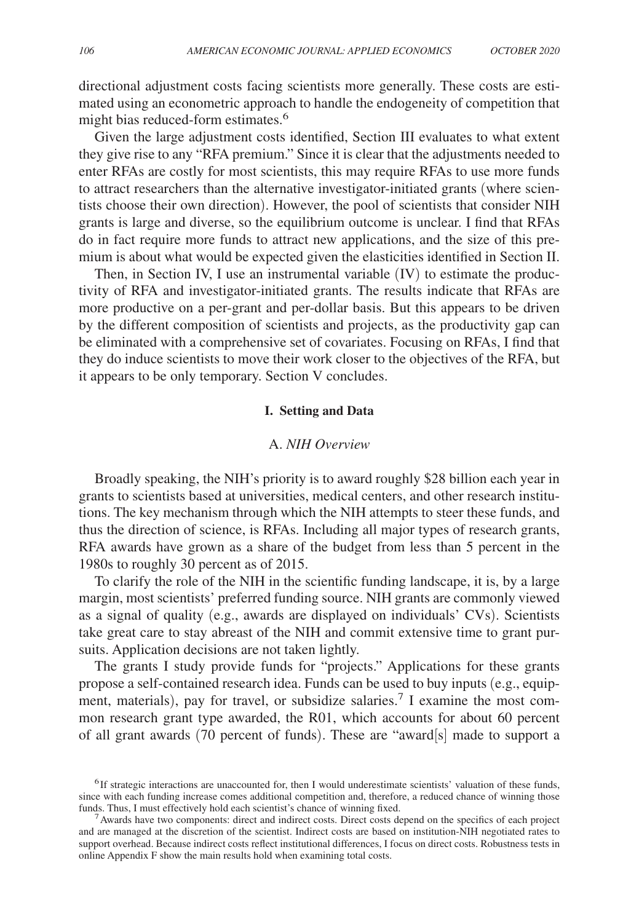directional adjustment costs facing scientists more generally. These costs are estimated using an econometric approach to handle the endogeneity of competition that might bias reduced-form estimates.<sup>6</sup>

Given the large adjustment costs identified, Section III evaluates to what extent they give rise to any "RFA premium." Since it is clear that the adjustments needed to enter RFAs are costly for most scientists, this may require RFAs to use more funds to attract researchers than the alternative investigator-initiated grants (where scientists choose their own direction). However, the pool of scientists that consider NIH grants is large and diverse, so the equilibrium outcome is unclear. I find that RFAs do in fact require more funds to attract new applications, and the size of this premium is about what would be expected given the elasticities identified in Section II.

Then, in Section IV, I use an instrumental variable (IV) to estimate the productivity of RFA and investigator-initiated grants. The results indicate that RFAs are more productive on a per-grant and per-dollar basis. But this appears to be driven by the different composition of scientists and projects, as the productivity gap can be eliminated with a comprehensive set of covariates. Focusing on RFAs, I find that they do induce scientists to move their work closer to the objectives of the RFA, but it appears to be only temporary. Section V concludes.

## **I. Setting and Data**

## A. *NIH Overview*

Broadly speaking, the NIH's priority is to award roughly \$28 billion each year in grants to scientists based at universities, medical centers, and other research institutions. The key mechanism through which the NIH attempts to steer these funds, and thus the direction of science, is RFAs. Including all major types of research grants, RFA awards have grown as a share of the budget from less than 5 percent in the 1980s to roughly 30 percent as of 2015.

To clarify the role of the NIH in the scientific funding landscape, it is, by a large margin, most scientists' preferred funding source. NIH grants are commonly viewed as a signal of quality (e.g., awards are displayed on individuals' CVs). Scientists take great care to stay abreast of the NIH and commit extensive time to grant pursuits. Application decisions are not taken lightly.

The grants I study provide funds for "projects." Applications for these grants propose a self-contained research idea. Funds can be used to buy inputs (e.g., equipment, materials), pay for travel, or subsidize salaries.<sup>7</sup> I examine the most common research grant type awarded, the R01, which accounts for about 60 percent of all grant awards (70 percent of funds). These are "award[s] made to support a

<sup>6</sup>If strategic interactions are unaccounted for, then I would underestimate scientists' valuation of these funds, since with each funding increase comes additional competition and, therefore, a reduced chance of winning those funds. Thus, I must effectively hold each scientist's chance of winning fixed.

<sup>&</sup>lt;sup>7</sup> Awards have two components: direct and indirect costs. Direct costs depend on the specifics of each project and are managed at the discretion of the scientist. Indirect costs are based on institution-NIH negotiated rates to support overhead. Because indirect costs reflect institutional differences, I focus on direct costs. Robustness tests in online Appendix F show the main results hold when examining total costs.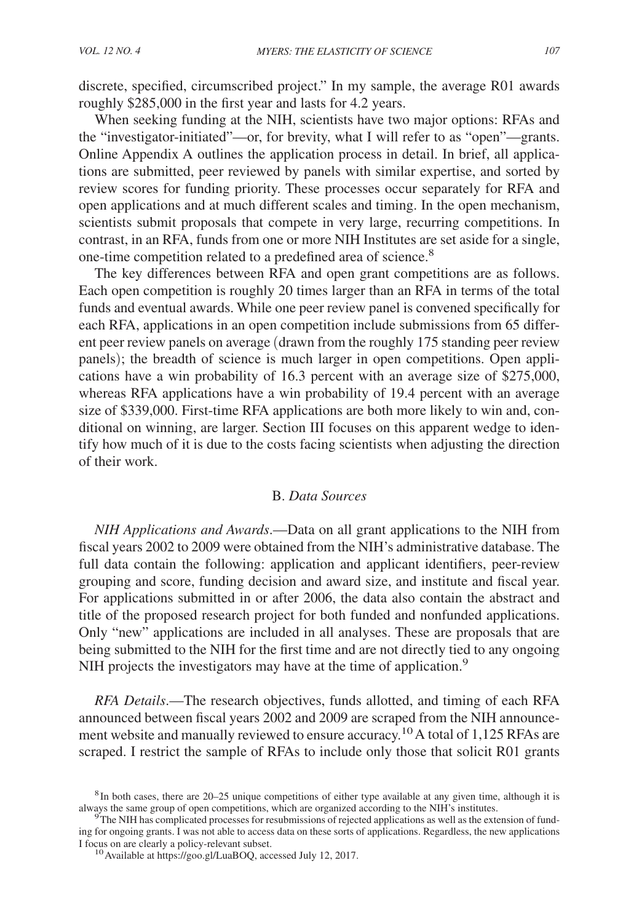discrete, specified, circumscribed project." In my sample, the average R01 awards roughly \$285,000 in the first year and lasts for 4.2 years.

When seeking funding at the NIH, scientists have two major options: RFAs and the "investigator-initiated"—or, for brevity, what I will refer to as "open"—grants. Online Appendix A outlines the application process in detail. In brief, all applications are submitted, peer reviewed by panels with similar expertise, and sorted by review scores for funding priority. These processes occur separately for RFA and open applications and at much different scales and timing. In the open mechanism, scientists submit proposals that compete in very large, recurring competitions. In contrast, in an RFA, funds from one or more NIH Institutes are set aside for a single, one-time competition related to a predefined area of science.<sup>8</sup>

The key differences between RFA and open grant competitions are as follows. Each open competition is roughly 20 times larger than an RFA in terms of the total funds and eventual awards. While one peer review panel is convened specifically for each RFA, applications in an open competition include submissions from 65 different peer review panels on average (drawn from the roughly 175 standing peer review panels); the breadth of science is much larger in open competitions. Open applications have a win probability of 16.3 percent with an average size of \$275,000, whereas RFA applications have a win probability of 19.4 percent with an average size of \$339,000. First-time RFA applications are both more likely to win and, conditional on winning, are larger. Section III focuses on this apparent wedge to identify how much of it is due to the costs facing scientists when adjusting the direction of their work.

## B. *Data Sources*

*NIH Applications and Awards*.—Data on all grant applications to the NIH from fiscal years 2002 to 2009 were obtained from the NIH's administrative database. The full data contain the following: application and applicant identifiers, peer-review grouping and score, funding decision and award size, and institute and fiscal year. For applications submitted in or after 2006, the data also contain the abstract and title of the proposed research project for both funded and nonfunded applications. Only "new" applications are included in all analyses. These are proposals that are being submitted to the NIH for the first time and are not directly tied to any ongoing NIH projects the investigators may have at the time of application.<sup>9</sup>

*RFA Details*.—The research objectives, funds allotted, and timing of each RFA announced between fiscal years 2002 and 2009 are scraped from the NIH announcement website and manually reviewed to ensure accuracy.<sup>10</sup> A total of 1,125 RFAs are scraped. I restrict the sample of RFAs to include only those that solicit R01 grants

<sup>8</sup>In both cases, there are 20–25 unique competitions of either type available at any given time, although it is always the same group of open competitions, which are organized according to the NIH's institutes.

 $9<sup>9</sup>$ The NIH has complicated processes for resubmissions of rejected applications as well as the extension of funding for ongoing grants. I was not able to access data on these sorts of applications. Regardless, the new applications I focus on are clearly a policy-relevant subset.

<sup>&</sup>lt;sup>10</sup> Available at https://goo.gl/LuaBOQ, accessed July 12, 2017.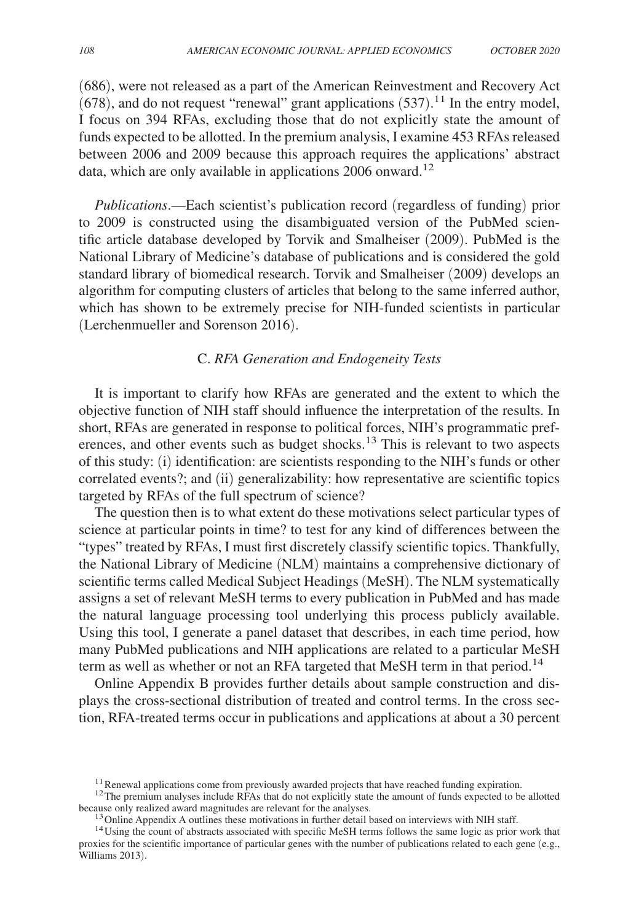(686), were not released as a part of the American Reinvestment and Recovery Act  $(678)$ , and do not request "renewal" grant applications  $(537)$ .<sup>11</sup> In the entry model, I focus on 394 RFAs, excluding those that do not explicitly state the amount of funds expected to be allotted. In the premium analysis, I examine 453 RFAs released between 2006 and 2009 because this approach requires the applications' abstract data, which are only available in applications  $2006$  onward.<sup>12</sup>

*Publications*.—Each scientist's publication record (regardless of funding) prior to 2009 is constructed using the disambiguated version of the PubMed scientific article database developed by Torvik and Smalheiser (2009). PubMed is the National Library of Medicine's database of publications and is considered the gold standard library of biomedical research. Torvik and Smalheiser (2009) develops an algorithm for computing clusters of articles that belong to the same inferred author, which has shown to be extremely precise for NIH-funded scientists in particular (Lerchenmueller and Sorenson 2016).

# C. *RFA Generation and Endogeneity Tests*

It is important to clarify how RFAs are generated and the extent to which the objective function of NIH staff should influence the interpretation of the results. In short, RFAs are generated in response to political forces, NIH's programmatic preferences, and other events such as budget shocks.13 This is relevant to two aspects of this study: (i) identification: are scientists responding to the NIH's funds or other correlated events?; and (ii) generalizability: how representative are scientific topics targeted by RFAs of the full spectrum of science?

The question then is to what extent do these motivations select particular types of science at particular points in time? to test for any kind of differences between the "types" treated by RFAs, I must first discretely classify scientific topics. Thankfully, the National Library of Medicine (NLM) maintains a comprehensive dictionary of scientific terms called Medical Subject Headings (MeSH). The NLM systematically assigns a set of relevant MeSH terms to every publication in PubMed and has made the natural language processing tool underlying this process publicly available. Using this tool, I generate a panel dataset that describes, in each time period, how many PubMed publications and NIH applications are related to a particular MeSH term as well as whether or not an RFA targeted that MeSH term in that period.<sup>14</sup>

Online Appendix B provides further details about sample construction and displays the cross-sectional distribution of treated and control terms. In the cross section, RFA-treated terms occur in publications and applications at about a 30 percent

 $11$  Renewal applications come from previously awarded projects that have reached funding expiration.

<sup>&</sup>lt;sup>12</sup>The premium analyses include RFAs that do not explicitly state the amount of funds expected to be allotted because only realized award magnitudes are relevant for the analyses.

<sup>&</sup>lt;sup>13</sup> Online Appendix A outlines these motivations in further detail based on interviews with NIH staff.

<sup>&</sup>lt;sup>14</sup>Using the count of abstracts associated with specific MeSH terms follows the same logic as prior work that proxies for the scientific importance of particular genes with the number of publications related to each gene (e.g., Williams 2013).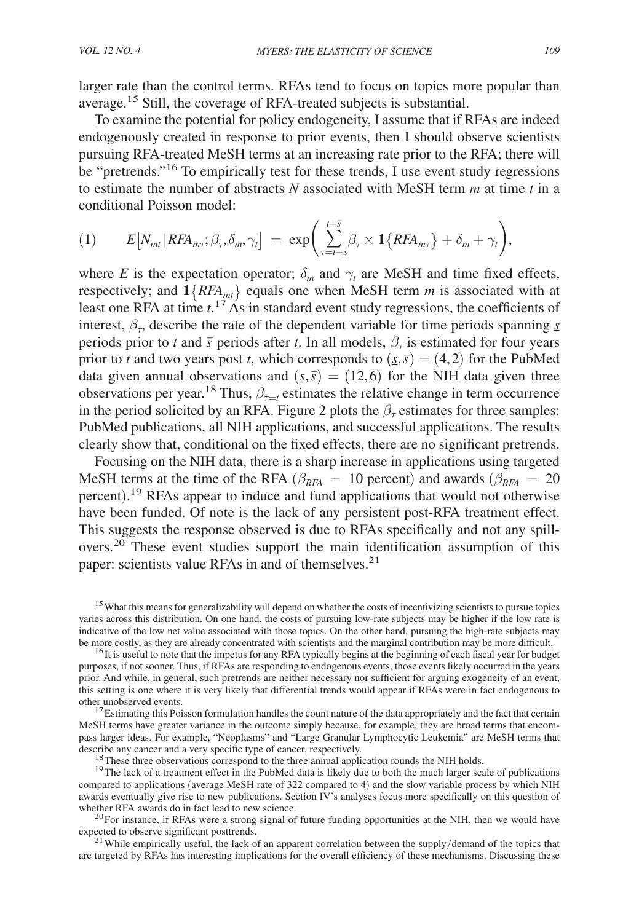larger rate than the control terms. RFAs tend to focus on topics more popular than average.15 Still, the coverage of RFA-treated subjects is substantial.

To examine the potential for policy endogeneity, I assume that if RFAs are indeed endogenously created in response to prior events, then I should observe scientists pursuing RFA-treated MeSH terms at an increasing rate prior to the RFA; there will be "pretrends."<sup>16</sup> To empirically test for these trends, I use event study regressions to estimate the number of abstracts *N* associated with MeSH term *m* at time *t* in a conditional Poisson model:

(1) 
$$
E[N_{mt} | RFA_{m\tau}; \beta_{\tau}, \delta_{m}, \gamma_{t}] = \exp\bigg(\sum_{\tau=t-\underline{s}}^{t+\overline{s}} \beta_{\tau} \times \mathbf{1}\{RFA_{m\tau}\} + \delta_{m} + \gamma_{t}\bigg),
$$

where *E* is the expectation operator;  $\delta_m$  and  $\gamma_t$  are MeSH and time fixed effects, respectively; and  $1\{RFA_{mt}\}$  equals one when MeSH term *m* is associated with at least one RFA at time  $t$ <sup>17</sup> As in standard event study regressions, the coefficients of interest,  $\beta_{\tau}$ , describe the rate of the dependent variable for time periods spanning <u>s</u> periods prior to *t* and  $\bar{s}$  periods after *t*. In all models,  $\beta_{\tau}$  is estimated for four years prior to *t* and two years post *t*, which corresponds to  $(s, \bar{s}) = (4, 2)$  for the PubMed data given annual observations and  $(s, \bar{s}) = (12, 6)$  for the NIH data given three observations per year.<sup>18</sup> Thus,  $\beta_{\tau=t}$  estimates the relative change in term occurrence in the period solicited by an RFA. Figure 2 plots the  $\beta_{\tau}$  estimates for three samples: PubMed publications, all NIH applications, and successful applications. The results clearly show that, conditional on the fixed effects, there are no significant pretrends.

Focusing on the NIH data, there is a sharp increase in applications using targeted MeSH terms at the time of the RFA ( $\beta_{RFA}$  = 10 percent) and awards ( $\beta_{RFA}$  = 20 percent).<sup>19</sup> RFAs appear to induce and fund applications that would not otherwise have been funded. Of note is the lack of any persistent post-RFA treatment effect. This suggests the response observed is due to RFAs specifically and not any spillovers.20 These event studies support the main identification assumption of this paper: scientists value RFAs in and of themselves.<sup>21</sup>

<sup>15</sup>What this means for generalizability will depend on whether the costs of incentivizing scientists to pursue topics varies across this distribution. On one hand, the costs of pursuing low-rate subjects may be higher if the low rate is indicative of the low net value associated with those topics. On the other hand, pursuing the high-rate subjects may be more costly, as they are already concentrated with scientists and the marginal contribution may be more difficult.

<sup>16</sup>It is useful to note that the impetus for any RFA typically begins at the beginning of each fiscal year for budget purposes, if not sooner. Thus, if RFAs are responding to endogenous events, those events likely occurred in the years prior. And while, in general, such pretrends are neither necessary nor sufficient for arguing exogeneity of an event, this setting is one where it is very likely that differential trends would appear if RFAs were in fact endogenous to other unobserved events.

<sup>17</sup>Estimating this Poisson formulation handles the count nature of the data appropriately and the fact that certain MeSH terms have greater variance in the outcome simply because, for example, they are broad terms that encompass larger ideas. For example, "Neoplasms" and "Large Granular Lymphocytic Leukemia" are MeSH terms that describe any cancer and a very specific type of cancer, respectively.

<sup>18</sup>These three observations correspond to the three annual application rounds the NIH holds.

<sup>19</sup>The lack of a treatment effect in the PubMed data is likely due to both the much larger scale of publications compared to applications (average MeSH rate of 322 compared to 4) and the slow variable process by which NIH awards eventually give rise to new publications. Section IV's analyses focus more specifically on this question of whether RFA awards do in fact lead to new science.

 $^{20}$  For instance, if RFAs were a strong signal of future funding opportunities at the NIH, then we would have expected to observe significant posttrends.<br><sup>21</sup>While empirically useful, the lack of an apparent correlation between the supply/demand of the topics that

are targeted by RFAs has interesting implications for the overall efficiency of these mechanisms. Discussing these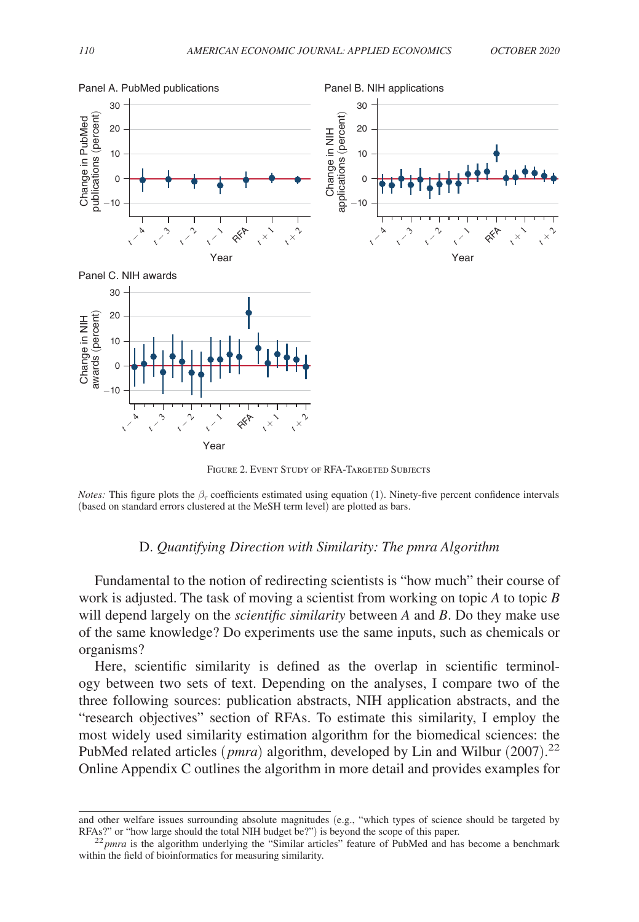

FIGURE 2. EVENT STUDY OF RFA-TARGETED SUBJECTS

*Notes:* This figure plots the  $\beta_\tau$  coefficients estimated using equation (1). Ninety-five percent confidence intervals

#### D. *Quantifying Direction with Similarity: The pmra Algorithm*

Fundamental to the notion of redirecting scientists is "how much" their course of work is adjusted. The task of moving a scientist from working on topic *A* to topic *B* will depend largely on the *scientific similarity* between *A* and *B* . Do they make use of the same knowledge? Do experiments use the same inputs, such as chemicals or organisms?

Here, scientific similarity is defined as the overlap in scientific terminology between two sets of text. Depending on the analyses, I compare two of the three following sources: publication abstracts, NIH application abstracts, and the "research objectives" section of RFAs. To estimate this similarity, I employ the most widely used similarity estimation algorithm for the biomedical sciences: the PubMed related articles (*pmra*) algorithm, developed by Lin and Wilbur (2007).<sup>22</sup> Online Appendix C outlines the algorithm in more detail and provides examples for

and other welfare issues surrounding absolute magnitudes (e.g., "which types of science should be targeted by RFAs?" or "how large should the total NIH budget be?") is beyond the scope of this paper.

 $^{22}$ *pmra* is the algorithm underlying the "Similar articles" feature of PubMed and has become a benchmark within the field of bioinformatics for measuring similarity.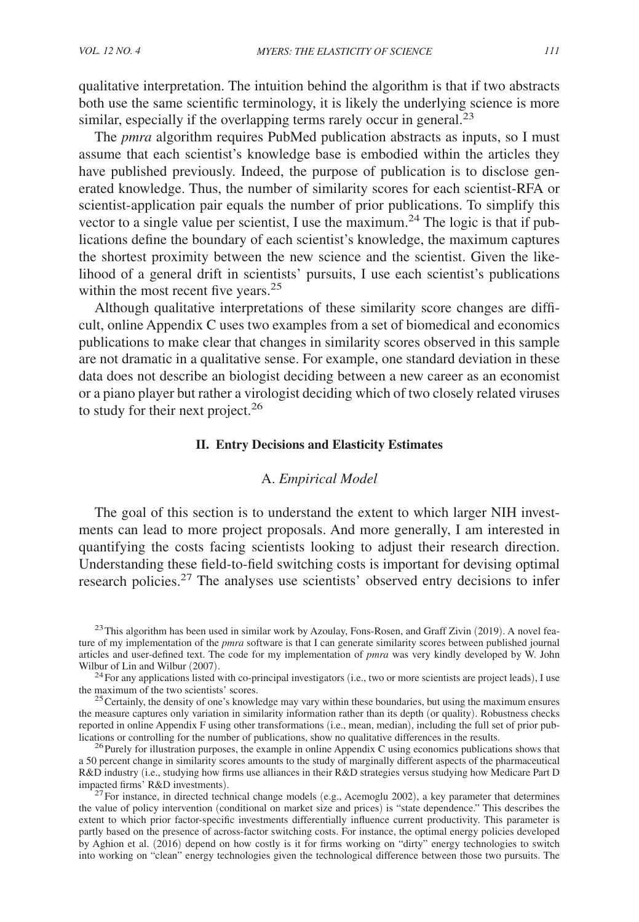qualitative interpretation. The intuition behind the algorithm is that if two abstracts both use the same scientific terminology, it is likely the underlying science is more similar, especially if the overlapping terms rarely occur in general.<sup>23</sup>

The *pmra* algorithm requires PubMed publication abstracts as inputs, so I must assume that each scientist's knowledge base is embodied within the articles they have published previously. Indeed, the purpose of publication is to disclose generated knowledge. Thus, the number of similarity scores for each scientist-RFA or scientist-application pair equals the number of prior publications. To simplify this vector to a single value per scientist, I use the maximum.<sup>24</sup> The logic is that if publications define the boundary of each scientist's knowledge, the maximum captures the shortest proximity between the new science and the scientist. Given the likelihood of a general drift in scientists' pursuits, I use each scientist's publications within the most recent five years.<sup>25</sup>

Although qualitative interpretations of these similarity score changes are difficult, online Appendix C uses two examples from a set of biomedical and economics publications to make clear that changes in similarity scores observed in this sample are not dramatic in a qualitative sense. For example, one standard deviation in these data does not describe an biologist deciding between a new career as an economist or a piano player but rather a virologist deciding which of two closely related viruses to study for their next project.<sup>26</sup>

#### **II. Entry Decisions and Elasticity Estimates**

#### A. *Empirical Model*

The goal of this section is to understand the extent to which larger NIH investments can lead to more project proposals. And more generally, I am interested in quantifying the costs facing scientists looking to adjust their research direction. Understanding these field-to-field switching costs is important for devising optimal research policies.27 The analyses use scientists' observed entry decisions to infer

 $^{23}$ This algorithm has been used in similar work by Azoulay, Fons-Rosen, and Graff Zivin (2019). A novel feature of my implementation of the *pmra* software is that I can generate similarity scores between published journal articles and user-defined text. The code for my implementation of *pmra* was very kindly developed by W. John Wilbur of Lin and Wilbur (2007).

 $24$  For any applications listed with co-principal investigators (i.e., two or more scientists are project leads), I use the maximum of the two scientists' scores.

 $25$  Certainly, the density of one's knowledge may vary within these boundaries, but using the maximum ensures the measure captures only variation in similarity information rather than its depth (or quality). Robustness checks reported in online Appendix F using other transformations (i.e., mean, median), including the full set of prior publications or controlling for the number of publications, show no qualitative differences in the results.

<sup>26</sup>Purely for illustration purposes, the example in online Appendix C using economics publications shows that a 50 percent change in similarity scores amounts to the study of marginally different aspects of the pharmaceutical R&D industry (i.e., studying how firms use alliances in their R&D strategies versus studying how Medicare Part D impacted firms' R&D investments).

 $27$  For instance, in directed technical change models (e.g., Acemoglu 2002), a key parameter that determines the value of policy intervention (conditional on market size and prices) is "state dependence." This describes the extent to which prior factor-specific investments differentially influence current productivity. This parameter is partly based on the presence of across-factor switching costs. For instance, the optimal energy policies developed by Aghion et al. (2016) depend on how costly is it for firms working on "dirty" energy technologies to switch into working on "clean" energy technologies given the technological difference between those two pursuits. The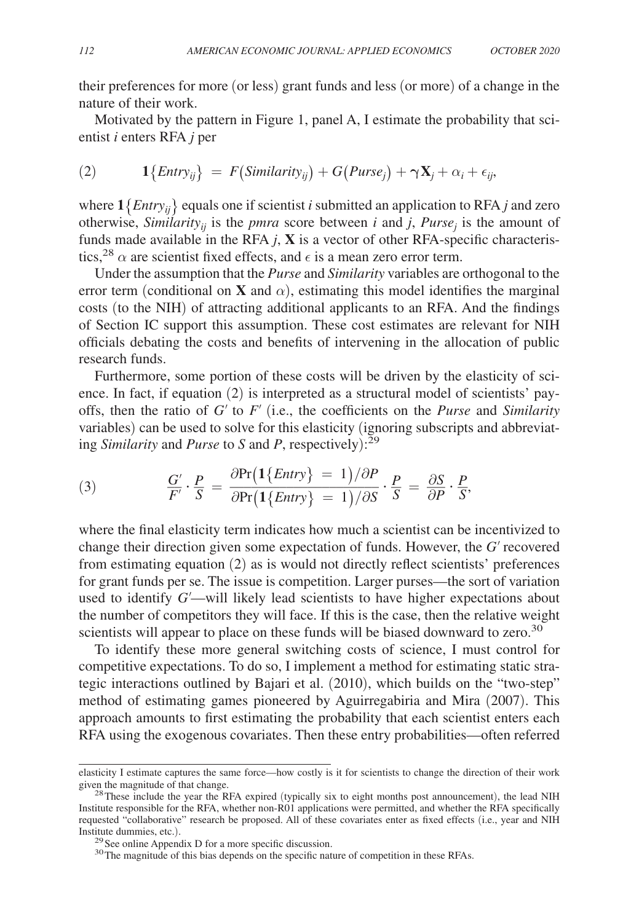their preferences for more (or less) grant funds and less (or more) of a change in the nature of their work.

Motivated by the pattern in Figure 1, panel A, I estimate the probability that scientist *i* enters RFA *j* per

(2) 
$$
1\{Entry_{ij}\} = F(Similarity_{ij}) + G(Purse_j) + \gamma \mathbf{X}_j + \alpha_i + \epsilon_{ij},
$$

where  $1\{Entry_{ii}\}$  equals one if scientist *i* submitted an application to RFA *j* and zero otherwise, *Similarity*<sub>*ij*</sub> is the *pmra* score between *i* and *j*, *Purse*<sub>*j*</sub> is the amount of funds made available in the RFA  $j$ ,  $X$  is a vector of other RFA-specific characteristics,<sup>28</sup>  $\alpha$  are scientist fixed effects, and  $\epsilon$  is a mean zero error term.

Under the assumption that the *Purse* and *Similarity* variables are orthogonal to the error term (conditional on **X** and  $\alpha$ ), estimating this model identifies the marginal costs (to the NIH) of attracting additional applicants to an RFA. And the findings of Section IC support this assumption. These cost estimates are relevant for NIH officials debating the costs and benefits of intervening in the allocation of public research funds.

Furthermore, some portion of these costs will be driven by the elasticity of science. In fact, if equation (2) is interpreted as a structural model of scientists' payoffs, then the ratio of *G*′ to *F*′ (i.e., the coefficients on the *Purse* and *Similarity* variables) can be used to solve for this elasticity (ignoring subscripts and abbreviating *Similarity* and *Purse* to *S* and *P*, respectively):<sup>29</sup><br>
(3)  $\frac{G'}{F'} \cdot \frac{P}{S} = \frac{\partial Pr(1\{Entry\} = 1)/\partial P}{\partial Pr(1\{Entry\} = 1)/\partial S} \cdot \frac{P}{S}$ ing *Similarity* and *Purse* to *S* and *P*, respectively): 29

(3) 
$$
\frac{G'}{F'} \cdot \frac{P}{S} = \frac{\partial \text{Pr}\left( \frac{1}{\text{Entry}} \right)}{\partial \text{Pr}\left( \frac{1}{\text{Entry}} \right)} = \frac{1}{\partial S} \cdot \frac{P}{S} = \frac{\partial S}{\partial P} \cdot \frac{P}{S},
$$

where the final elasticity term indicates how much a scientist can be incentivized to change their direction given some expectation of funds. However, the *G*′ recovered from estimating equation (2) as is would not directly reflect scientists' preferences for grant funds per se. The issue is competition. Larger purses—the sort of variation used to identify *G*′—will likely lead scientists to have higher expectations about the number of competitors they will face. If this is the case, then the relative weight scientists will appear to place on these funds will be biased downward to zero.<sup>30</sup>

To identify these more general switching costs of science, I must control for competitive expectations. To do so, I implement a method for estimating static strategic interactions outlined by Bajari et al. (2010), which builds on the "two-step" method of estimating games pioneered by Aguirregabiria and Mira (2007). This approach amounts to first estimating the probability that each scientist enters each RFA using the exogenous covariates. Then these entry probabilities—often referred

elasticity I estimate captures the same force—how costly is it for scientists to change the direction of their work given the magnitude of that change.

 $^{28}$ These include the year the RFA expired (typically six to eight months post announcement), the lead NIH Institute responsible for the RFA, whether non-R01 applications were permitted, and whether the RFA specifically requested "collaborative" research be proposed. All of these covariates enter as fixed effects (i.e., year and NIH Institute dummies, etc.).

 $^{29}$  See online Appendix D for a more specific discussion.

<sup>&</sup>lt;sup>30</sup>The magnitude of this bias depends on the specific nature of competition in these RFAs.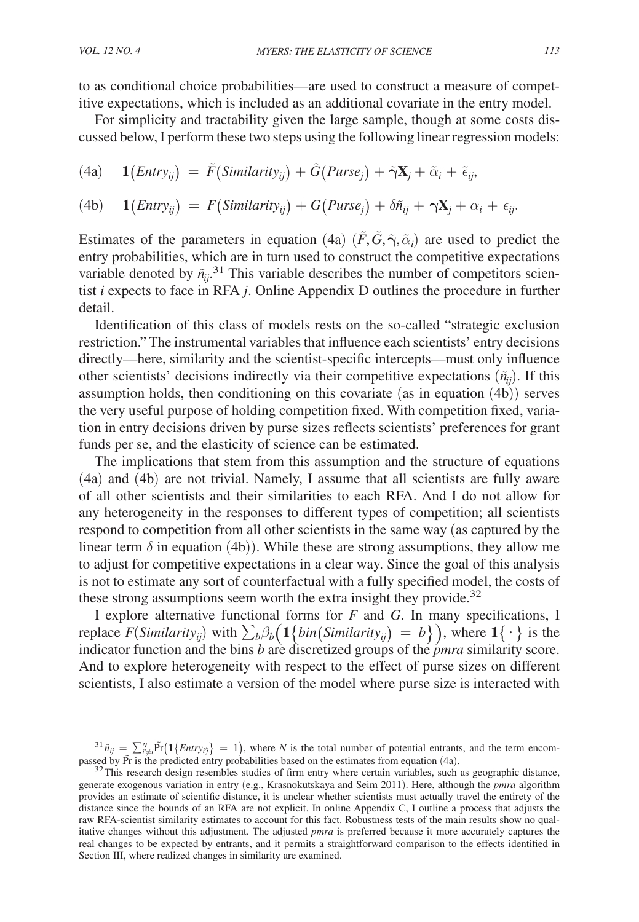to as conditional choice probabilities—are used to construct a measure of competitive expectations, which is included as an additional covariate in the entry model.

For simplicity and tractability given the large sample, though at some costs discussed below, I perform these two steps using the following linear regression models:

(4a) 
$$
\mathbf{1}(Entry_{ij}) = \tilde{F}(Similarity_{ij}) + \tilde{G}(Purse_j) + \tilde{\gamma}\mathbf{X}_j + \tilde{\alpha}_i + \tilde{\epsilon}_{ij},
$$

(4b) 
$$
1\big(Entry_{ij}\big) = F\big(Similarity_{ij}\big) + G(Purse_j) + \delta \tilde{n}_{ij} + \gamma \mathbf{X}_j + \alpha_i + \epsilon_{ij}.
$$

Estimates of the parameters in equation (4a)  $(\tilde{F}, \tilde{G}, \tilde{\gamma}, \tilde{\alpha}_i)$  are used to predict the entry probabilities, which are in turn used to construct the competitive expectations variable denoted by  $\tilde{n}_{ij}$ .<sup>31</sup> This variable describes the number of competitors scientist *i* expects to face in RFA *j* . Online Appendix D outlines the procedure in further detail.

Identification of this class of models rests on the so-called "strategic exclusion restriction." The instrumental variables that influence each scientists' entry decisions directly—here, similarity and the scientist-specific intercepts—must only influence other scientists' decisions indirectly via their competitive expectations  $(\tilde{n}_{ij})$ . If this assumption holds, then conditioning on this covariate (as in equation (4b)) serves the very useful purpose of holding competition fixed. With competition fixed, variation in entry decisions driven by purse sizes reflects scientists' preferences for grant funds per se, and the elasticity of science can be estimated.

The implications that stem from this assumption and the structure of equations (4a) and (4b) are not trivial. Namely, I assume that all scientists are fully aware of all other scientists and their similarities to each RFA. And I do not allow for any heterogeneity in the responses to different types of competition; all scientists respond to competition from all other scientists in the same way (as captured by the linear term  $\delta$  in equation (4b)). While these are strong assumptions, they allow me to adjust for competitive expectations in a clear way. Since the goal of this analysis is not to estimate any sort of counterfactual with a fully specified model, the costs of these strong assumptions seem worth the extra insight they provide.<sup>32</sup>

I explore alternative functional forms for *F* and *G* . In many specifications, I replace  $F(Similarity_{ij})$  with  $\sum_b \beta_b \left( \frac{1}{\phi} \{ \binom{Similarity_{ij}}{j} \} = b \} \right)$ , where  $1 {\ \cdot \}$  is the indicator function and the bins *b* are discretized groups of the *pmra* similarity score. And to explore heterogeneity with respect to the effect of purse sizes on different scientists, I also estimate a version of the model where purse size is interacted with

 $^{31}$  $\tilde{n}_{ij} = \sum_{i' \neq i}^{N} \tilde{Pr} \left( \mathbf{1} \{ \text{Entry}_{ij} \} = 1 \right)$ , where *N* is the total number of potential entrants, and the term encompassed by Pr is the predicted entry probabilities based on the estimates from equation (4a).

<sup>&</sup>lt;sup>32</sup>This research design resembles studies of firm entry where certain variables, such as geographic distance, generate exogenous variation in entry (e.g., Krasnokutskaya and Seim 2011). Here, although the *pmra* algorithm provides an estimate of scientific distance, it is unclear whether scientists must actually travel the entirety of the distance since the bounds of an RFA are not explicit. In online Appendix C, I outline a process that adjusts the raw RFA-scientist similarity estimates to account for this fact. Robustness tests of the main results show no qualitative changes without this adjustment. The adjusted *pmra* is preferred because it more accurately captures the real changes to be expected by entrants, and it permits a straightforward comparison to the effects identified in Section III, where realized changes in similarity are examined.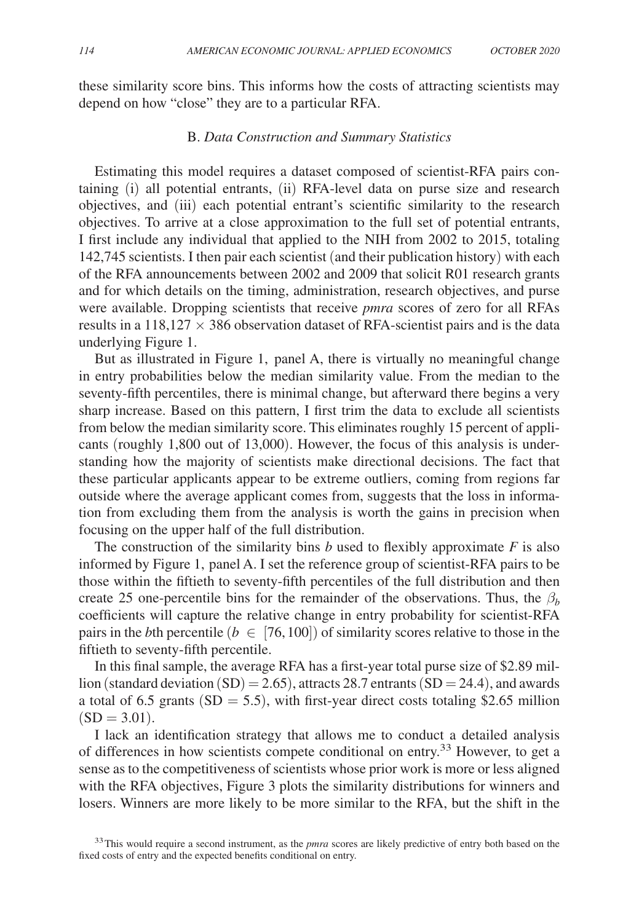these similarity score bins. This informs how the costs of attracting scientists may depend on how "close" they are to a particular RFA.

## B. *Data Construction and Summary Statistics*

Estimating this model requires a dataset composed of scientist-RFA pairs containing (i) all potential entrants, (ii) RFA-level data on purse size and research objectives, and (iii) each potential entrant's scientific similarity to the research objectives. To arrive at a close approximation to the full set of potential entrants, I first include any individual that applied to the NIH from 2002 to 2015, totaling 142,745 scientists. I then pair each scientist (and their publication history) with each of the RFA announcements between 2002 and 2009 that solicit R01 research grants and for which details on the timing, administration, research objectives, and purse were available. Dropping scientists that receive *pmra* scores of zero for all RFAs results in a  $118,127 \times 386$  observation dataset of RFA-scientist pairs and is the data underlying Figure 1.

But as illustrated in Figure 1, panel A, there is virtually no meaningful change in entry probabilities below the median similarity value. From the median to the seventy-fifth percentiles, there is minimal change, but afterward there begins a very sharp increase. Based on this pattern, I first trim the data to exclude all scientists from below the median similarity score. This eliminates roughly 15 percent of applicants (roughly 1,800 out of 13,000). However, the focus of this analysis is understanding how the majority of scientists make directional decisions. The fact that these particular applicants appear to be extreme outliers, coming from regions far outside where the average applicant comes from, suggests that the loss in information from excluding them from the analysis is worth the gains in precision when focusing on the upper half of the full distribution.

The construction of the similarity bins  $b$  used to flexibly approximate  $F$  is also informed by Figure 1, panel A. I set the reference group of scientist-RFA pairs to be those within the fiftieth to seventy-fifth percentiles of the full distribution and then create 25 one-percentile bins for the remainder of the observations. Thus, the  $\beta_b$ coefficients will capture the relative change in entry probability for scientist-RFA pairs in the *b*th percentile ( $b \in [76, 100]$ ) of similarity scores relative to those in the fiftieth to seventy-fifth percentile.

In this final sample, the average RFA has a first-year total purse size of \$2.89 million (standard deviation  $(SD) = 2.65$ ), attracts 28.7 entrants  $(SD = 24.4)$ , and awards a total of 6.5 grants ( $SD = 5.5$ ), with first-year direct costs totaling \$2.65 million  $(SD = 3.01)$ .

I lack an identification strategy that allows me to conduct a detailed analysis of differences in how scientists compete conditional on entry.33 However, to get a sense as to the competitiveness of scientists whose prior work is more or less aligned with the RFA objectives, Figure 3 plots the similarity distributions for winners and losers. Winners are more likely to be more similar to the RFA, but the shift in the

<sup>33</sup>This would require a second instrument, as the *pmra* scores are likely predictive of entry both based on the fixed costs of entry and the expected benefits conditional on entry.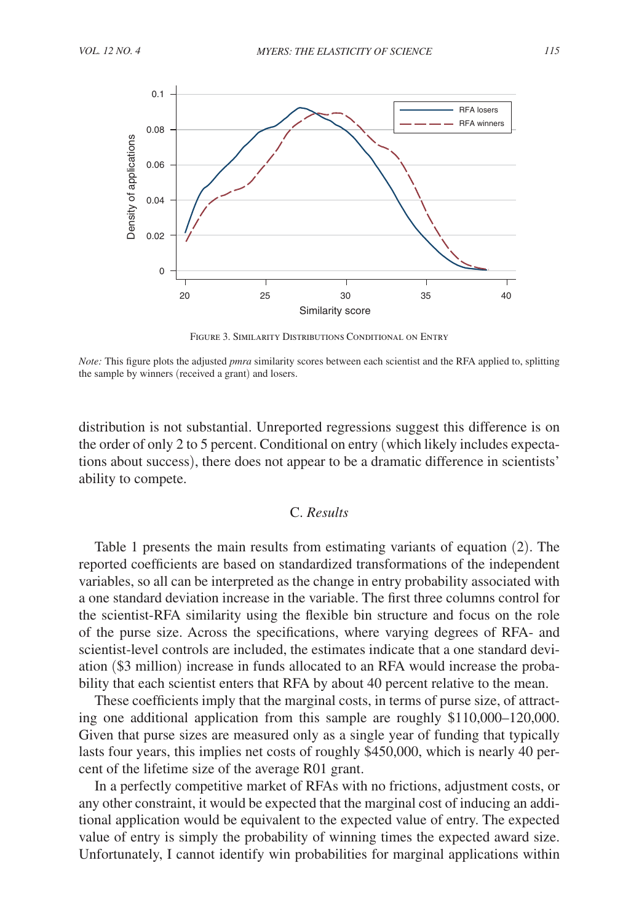

Figure 3. Similarity Distributions Conditional on Entry

*Note:* This figure plots the adjusted *pmra* similarity scores between each scientist and the RFA applied to, splitting the sample by winners (received a grant) and losers.

distribution is not substantial. Unreported regressions suggest this difference is on the order of only 2 to 5 percent. Conditional on entry (which likely includes expectations about success), there does not appear to be a dramatic difference in scientists' ability to compete.

# C. *Results*

Table 1 presents the main results from estimating variants of equation (2). The reported coefficients are based on standardized transformations of the independent variables, so all can be interpreted as the change in entry probability associated with a one standard deviation increase in the variable. The first three columns control for the scientist-RFA similarity using the flexible bin structure and focus on the role of the purse size. Across the specifications, where varying degrees of RFA- and scientist-level controls are included, the estimates indicate that a one standard deviation (\$3 million) increase in funds allocated to an RFA would increase the probability that each scientist enters that RFA by about 40 percent relative to the mean.

These coefficients imply that the marginal costs, in terms of purse size, of attracting one additional application from this sample are roughly \$110,000–120,000. Given that purse sizes are measured only as a single year of funding that typically lasts four years, this implies net costs of roughly \$450,000, which is nearly 40 percent of the lifetime size of the average R01 grant.

In a perfectly competitive market of RFAs with no frictions, adjustment costs, or any other constraint, it would be expected that the marginal cost of inducing an additional application would be equivalent to the expected value of entry. The expected value of entry is simply the probability of winning times the expected award size. Unfortunately, I cannot identify win probabilities for marginal applications within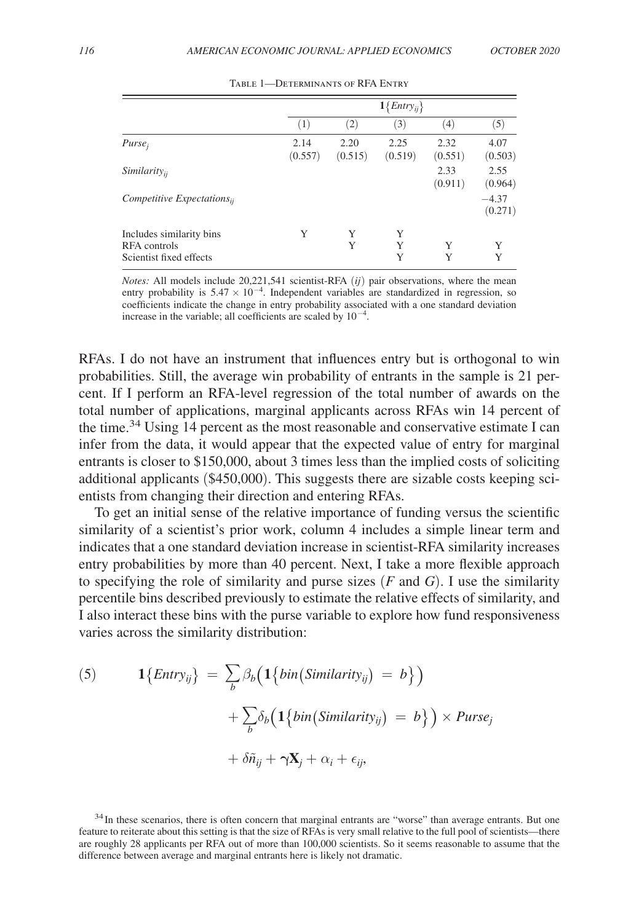|                                                                     |                 | $1\{Entry_{ij}\}$ |                 |                 |                    |
|---------------------------------------------------------------------|-----------------|-------------------|-----------------|-----------------|--------------------|
|                                                                     | (1)             | (2)               | (3)             | $^{(4)}$        | (5)                |
| $Purse_i$                                                           | 2.14<br>(0.557) | 2.20<br>(0.515)   | 2.25<br>(0.519) | 2.32<br>(0.551) | 4.07<br>(0.503)    |
| <i>Similarity</i> <sub>ii</sub>                                     |                 |                   |                 | 2.33<br>(0.911) | 2.55<br>(0.964)    |
| $Competitive$ Expectations $_{ii}$                                  |                 |                   |                 |                 | $-4.37$<br>(0.271) |
| Includes similarity bins<br>RFA controls<br>Scientist fixed effects | Y               | Y<br>Y            | Y<br>Y<br>Y     | Y<br>Y          | Y<br>Y             |

Table 1—Determinants of RFA Entry

*Notes:* All models include 20,221,541 scientist-RFA (*ij*) pair observations, where the mean entry probability is  $5.47 \times 10^{-4}$ . Independent variables are standardized in regression, so coefficients indicate the change in entry probability associated with a one standard deviation increase in the variable; all coefficients are scaled by  $10^{-4}$ .

RFAs. I do not have an instrument that influences entry but is orthogonal to win probabilities. Still, the average win probability of entrants in the sample is 21 percent. If I perform an RFA-level regression of the total number of awards on the total number of applications, marginal applicants across RFAs win 14 percent of the time.34 Using 14 percent as the most reasonable and conservative estimate I can infer from the data, it would appear that the expected value of entry for marginal entrants is closer to \$150,000, about 3 times less than the implied costs of soliciting additional applicants (\$450,000). This suggests there are sizable costs keeping scientists from changing their direction and entering RFAs.

To get an initial sense of the relative importance of funding versus the scientific similarity of a scientist's prior work, column 4 includes a simple linear term and indicates that a one standard deviation increase in scientist-RFA similarity increases entry probabilities by more than 40 percent. Next, I take a more flexible approach to specifying the role of similarity and purse sizes  $(F \text{ and } G)$ . I use the similarity percentile bins described previously to estimate the relative effects of similarity, and I also interact these bins with the purse variable to explore how fund responsiveness varies across the similarity distribution:

(5) 
$$
1\{Entry_{ij}\} = \sum_{b} \beta_b \Big( 1\{bin(Similarity_{ij}) = b\} \Big) + \sum_{b} \delta_b \Big( 1\{bin(Similarity_{ij}) = b\} \Big) \times Pure_j + \delta \tilde{n}_{ij} + \gamma \mathbf{X}_j + \alpha_i + \epsilon_{ij},
$$

<sup>34</sup>In these scenarios, there is often concern that marginal entrants are "worse" than average entrants. But one feature to reiterate about this setting is that the size of RFAs is very small relative to the full pool of scientists—there are roughly 28 applicants per RFA out of more than 100,000 scientists. So it seems reasonable to assume that the difference between average and marginal entrants here is likely not dramatic.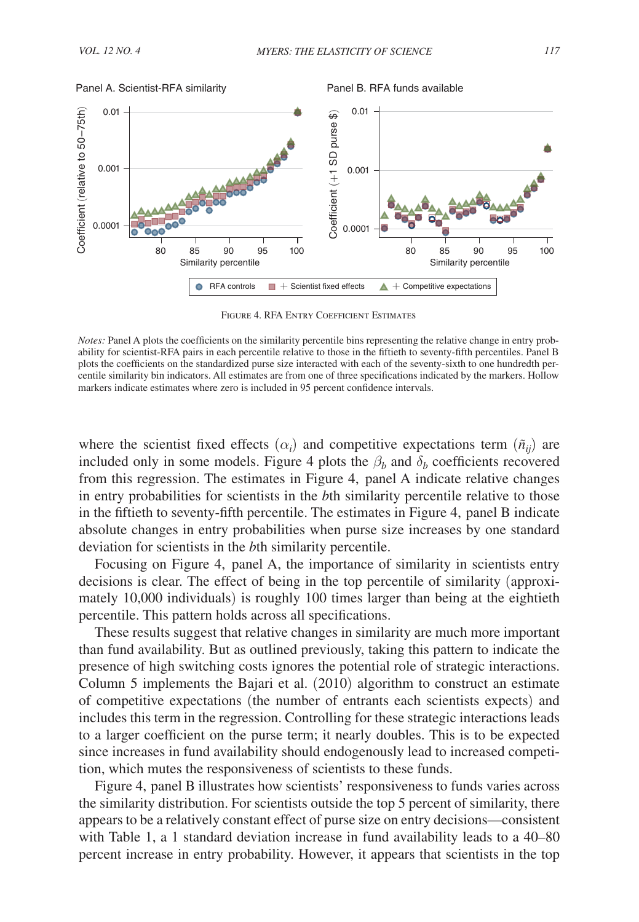

Figure 4. RFA Entry Coefficient Estimates

where the scientist fixed effects  $(\alpha_i)$  and competitive expectations term  $(\tilde{n}_{ij})$  are included only in some models. Figure 4 plots the  $\beta_b$  and  $\delta_b$  coefficients recovered from this regression. The estimates in Figure 4, panel A indicate relative changes in entry probabilities for scientists in the *b*th similarity percentile relative to those in the fiftieth to seventy-fifth percentile. The estimates in Figure 4, panel B indicate absolute changes in entry probabilities when purse size increases by one standard deviation for scientists in the *b*th similarity percentile.

Focusing on Figure 4, panel A, the importance of similarity in scientists entry decisions is clear. The effect of being in the top percentile of similarity (approximately 10,000 individuals) is roughly 100 times larger than being at the eightieth percentile. This pattern holds across all specifications.

These results suggest that relative changes in similarity are much more important than fund availability. But as outlined previously, taking this pattern to indicate the presence of high switching costs ignores the potential role of strategic interactions. Column 5 implements the Bajari et al. (2010) algorithm to construct an estimate of competitive expectations (the number of entrants each scientists expects) and includes this term in the regression. Controlling for these strategic interactions leads to a larger coefficient on the purse term; it nearly doubles. This is to be expected since increases in fund availability should endogenously lead to increased competition, which mutes the responsiveness of scientists to these funds.

Figure 4, panel B illustrates how scientists' responsiveness to funds varies across the similarity distribution. For scientists outside the top 5 percent of similarity, there appears to be a relatively constant effect of purse size on entry decisions—consistent with Table 1, a 1 standard deviation increase in fund availability leads to a 40–80 percent increase in entry probability. However, it appears that scientists in the top

*Notes:* Panel A plots the coefficients on the similarity percentile bins representing the relative change in entry probability for scientist-RFA pairs in each percentile relative to those in the fiftieth to seventy-fifth percentiles. Panel B plots the coefficients on the standardized purse size interacted with each of the seventy-sixth to one hundredth percentile similarity bin indicators. All estimates are from one of three specifications indicated by the markers. Hollow markers indicate estimates where zero is included in 95 percent confidence intervals.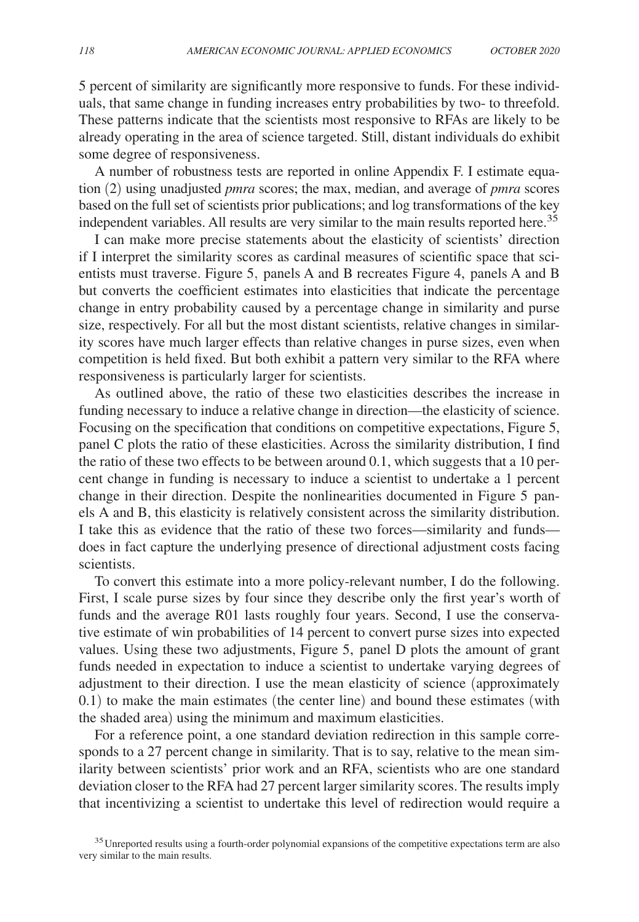5 percent of similarity are significantly more responsive to funds. For these individuals, that same change in funding increases entry probabilities by two- to threefold. These patterns indicate that the scientists most responsive to RFAs are likely to be already operating in the area of science targeted. Still, distant individuals do exhibit some degree of responsiveness.

A number of robustness tests are reported in online Appendix F. I estimate equation (2) using unadjusted *pmra* scores; the max, median, and average of *pmra* scores based on the full set of scientists prior publications; and log transformations of the key independent variables. All results are very similar to the main results reported here.<sup>35</sup>

I can make more precise statements about the elasticity of scientists' direction if I interpret the similarity scores as cardinal measures of scientific space that scientists must traverse. Figure 5, panels A and B recreates Figure 4, panels A and B but converts the coefficient estimates into elasticities that indicate the percentage change in entry probability caused by a percentage change in similarity and purse size, respectively. For all but the most distant scientists, relative changes in similarity scores have much larger effects than relative changes in purse sizes, even when competition is held fixed. But both exhibit a pattern very similar to the RFA where responsiveness is particularly larger for scientists.

As outlined above, the ratio of these two elasticities describes the increase in funding necessary to induce a relative change in direction—the elasticity of science. Focusing on the specification that conditions on competitive expectations, Figure 5, panel C plots the ratio of these elasticities. Across the similarity distribution, I find the ratio of these two effects to be between around 0.1, which suggests that a 10 percent change in funding is necessary to induce a scientist to undertake a 1 percent change in their direction. Despite the nonlinearities documented in Figure 5 panels A and B, this elasticity is relatively consistent across the similarity distribution. I take this as evidence that the ratio of these two forces—similarity and funds does in fact capture the underlying presence of directional adjustment costs facing scientists.

To convert this estimate into a more policy-relevant number, I do the following. First, I scale purse sizes by four since they describe only the first year's worth of funds and the average R01 lasts roughly four years. Second, I use the conservative estimate of win probabilities of 14 percent to convert purse sizes into expected values. Using these two adjustments, Figure 5, panel D plots the amount of grant funds needed in expectation to induce a scientist to undertake varying degrees of adjustment to their direction. I use the mean elasticity of science (approximately 0.1) to make the main estimates (the center line) and bound these estimates (with the shaded area) using the minimum and maximum elasticities.

For a reference point, a one standard deviation redirection in this sample corresponds to a 27 percent change in similarity. That is to say, relative to the mean similarity between scientists' prior work and an RFA, scientists who are one standard deviation closer to the RFA had 27 percent larger similarity scores. The results imply that incentivizing a scientist to undertake this level of redirection would require a

<sup>&</sup>lt;sup>35</sup> Unreported results using a fourth-order polynomial expansions of the competitive expectations term are also very similar to the main results.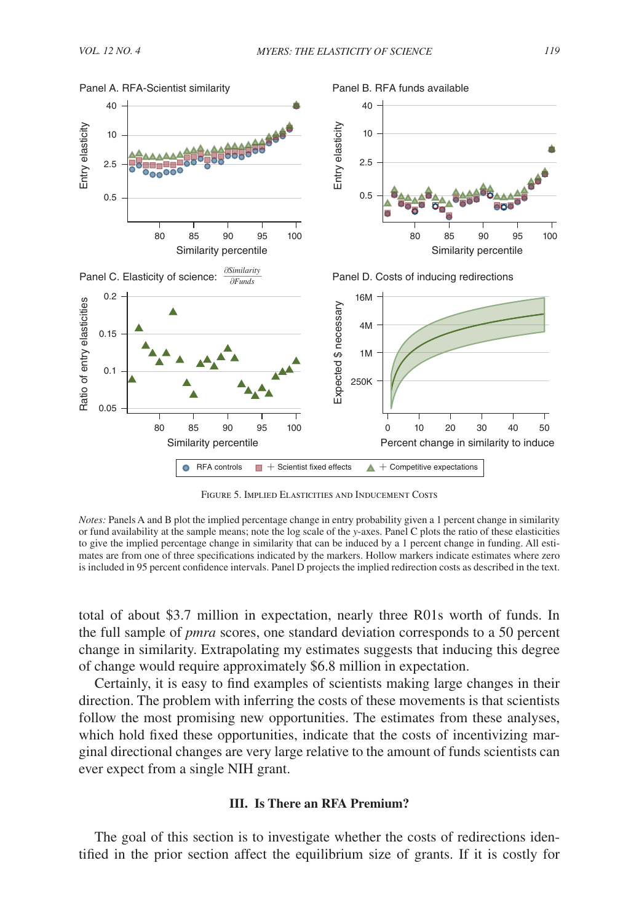

Figure 5. Implied Elasticities and Inducement Costs

*Notes:* Panels A and B plot the implied percentage change in entry probability given a 1 percent change in similarity or fund availability at the sample means; note the log scale of the *y*-axes. Panel C plots the ratio of these elasticities to give the implied percentage change in similarity that can be induced by a 1 percent change in funding. All estimates are from one of three specifications indicated by the markers. Hollow markers indicate estimates where zero is included in 95 percent confidence intervals. Panel D projects the implied redirection costs as described in the text.

total of about \$3.7 million in expectation, nearly three R01s worth of funds. In the full sample of *pmra* scores, one standard deviation corresponds to a 50 percent change in similarity. Extrapolating my estimates suggests that inducing this degree of change would require approximately \$6.8 million in expectation.

Certainly, it is easy to find examples of scientists making large changes in their direction. The problem with inferring the costs of these movements is that scientists follow the most promising new opportunities. The estimates from these analyses, which hold fixed these opportunities, indicate that the costs of incentivizing marginal directional changes are very large relative to the amount of funds scientists can ever expect from a single NIH grant.

#### **III. Is There an RFA Premium?**

The goal of this section is to investigate whether the costs of redirections identified in the prior section affect the equilibrium size of grants. If it is costly for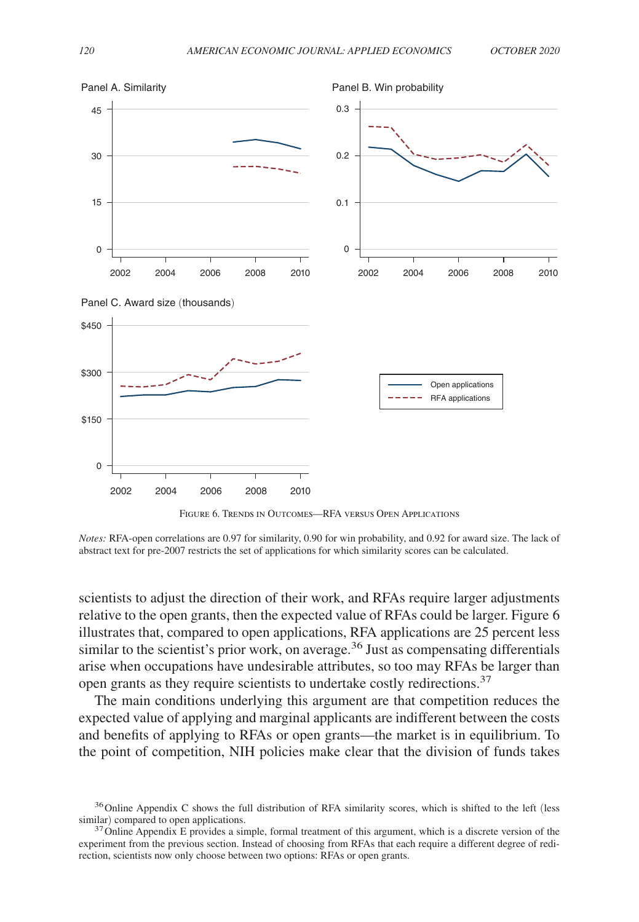

Figure 6. Trends in Outcomes—RFA versus Open Applications

*Notes:* RFA-open correlations are 0.97 for similarity, 0.90 for win probability, and 0.92 for award size. The lack of abstract text for pre-2007 restricts the set of applications for which similarity scores can be calculated.

scientists to adjust the direction of their work, and RFAs require larger adjustments relative to the open grants, then the expected value of RFAs could be larger. Figure 6 illustrates that, compared to open applications, RFA applications are 25 percent less similar to the scientist's prior work, on average. $36$  Just as compensating differentials arise when occupations have undesirable attributes, so too may RFAs be larger than open grants as they require scientists to undertake costly redirections.<sup>37</sup>

The main conditions underlying this argument are that competition reduces the expected value of applying and marginal applicants are indifferent between the costs and benefits of applying to RFAs or open grants—the market is in equilibrium. To the point of competition, NIH policies make clear that the division of funds takes

<sup>&</sup>lt;sup>36</sup> Online Appendix C shows the full distribution of RFA similarity scores, which is shifted to the left (less similar) compared to open applications.

 $37$  Online Appendix E provides a simple, formal treatment of this argument, which is a discrete version of the experiment from the previous section. Instead of choosing from RFAs that each require a different degree of redirection, scientists now only choose between two options: RFAs or open grants.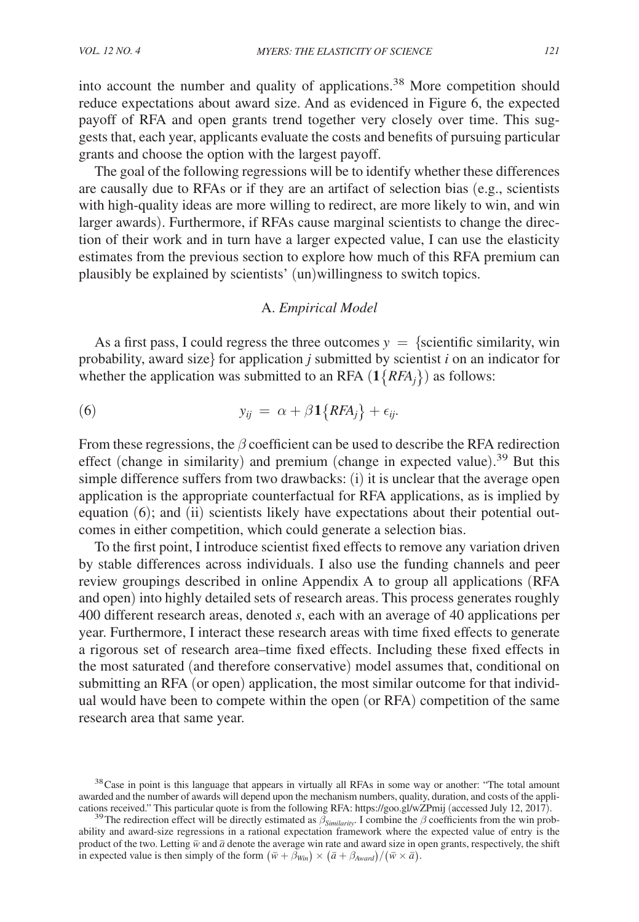into account the number and quality of applications.38 More competition should reduce expectations about award size. And as evidenced in Figure 6, the expected payoff of RFA and open grants trend together very closely over time. This suggests that, each year, applicants evaluate the costs and benefits of pursuing particular grants and choose the option with the largest payoff.

The goal of the following regressions will be to identify whether these differences are causally due to RFAs or if they are an artifact of selection bias (e.g., scientists with high-quality ideas are more willing to redirect, are more likely to win, and win larger awards). Furthermore, if RFAs cause marginal scientists to change the direction of their work and in turn have a larger expected value, I can use the elasticity estimates from the previous section to explore how much of this RFA premium can plausibly be explained by scientists' (un)willingness to switch topics.

### A. *Empirical Model*

As a first pass, I could regress the three outcomes  $y = \{s$ cientific similarity, win probability, award size} for application  $j$  submitted by scientist  $i$  on an indicator for whether the application was submitted to an RFA  $(1\{RFA_i\})$  as follows:

(6) 
$$
y_{ij} = \alpha + \beta \mathbf{1} \{ RFA_j \} + \epsilon_{ij}.
$$

From these regressions, the  $\beta$  coefficient can be used to describe the RFA redirection effect (change in similarity) and premium (change in expected value). <sup>39</sup> But this simple difference suffers from two drawbacks: (i) it is unclear that the average open application is the appropriate counterfactual for RFA applications, as is implied by equation (6); and (ii) scientists likely have expectations about their potential outcomes in either competition, which could generate a selection bias.

To the first point, I introduce scientist fixed effects to remove any variation driven by stable differences across individuals. I also use the funding channels and peer review groupings described in online Appendix A to group all applications (RFA and open) into highly detailed sets of research areas. This process generates roughly 400 different research areas, denoted *s* , each with an average of 40 applications per year. Furthermore, I interact these research areas with time fixed effects to generate a rigorous set of research area–time fixed effects. Including these fixed effects in the most saturated (and therefore conservative) model assumes that, conditional on submitting an RFA (or open) application, the most similar outcome for that individual would have been to compete within the open (or RFA) competition of the same research area that same year.

<sup>&</sup>lt;sup>38</sup>Case in point is this language that appears in virtually all RFAs in some way or another: "The total amount awarded and the number of awards will depend upon the mechanism numbers, quality, duration, and costs of the applications received." This particular quote is from the following RFA: https://goo.gl/wZPmij (accessed July 12, 2017).

<sup>&</sup>lt;sup>39</sup>The redirection effect will be directly estimated as  $\beta_{Similarity}$ . I combine the  $\beta$  coefficients from the win probability and award-size regressions in a rational expectation framework where the expected value of entry is the product of the two. Letting  $\bar{w}$  and  $\bar{a}$  denote the average win rate and award size in open grants, respectively, the shift in expected value is then simply of the form  $(\bar{w} + \tilde{\beta}_{Win}) \times (\bar{a} + \beta_{Award})/(\bar{w} \times \bar{a})$ .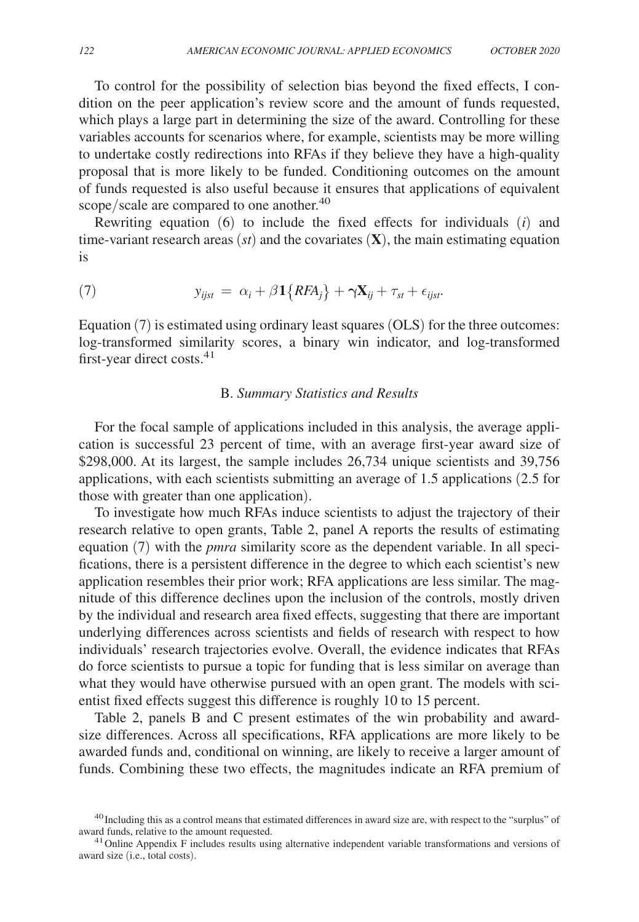To control for the possibility of selection bias beyond the fixed effects, I condition on the peer application's review score and the amount of funds requested, which plays a large part in determining the size of the award. Controlling for these variables accounts for scenarios where, for example, scientists may be more willing to undertake costly redirections into RFAs if they believe they have a high-quality proposal that is more likely to be funded. Conditioning outcomes on the amount of funds requested is also useful because it ensures that applications of equivalent scope/scale are compared to one another.<sup>40</sup>

Rewriting equation (6) to include the fixed effects for individuals (*i*) and time-variant research areas  $(st)$  and the covariates  $(X)$ , the main estimating equation is

(7) 
$$
y_{ijst} = \alpha_i + \beta \mathbf{1} \{ RFA_j \} + \gamma \mathbf{X}_{ij} + \tau_{st} + \epsilon_{ijst}.
$$

Equation  $(7)$  is estimated using ordinary least squares  $(OLS)$  for the three outcomes: log-transformed similarity scores, a binary win indicator, and log-transformed first-year direct costs. $41$ 

## B. *Summary Statistics and Results*

For the focal sample of applications included in this analysis, the average application is successful 23 percent of time, with an average first-year award size of \$298,000. At its largest, the sample includes 26,734 unique scientists and 39,756 applications, with each scientists submitting an average of 1.5 applications (2.5 for those with greater than one application).

To investigate how much RFAs induce scientists to adjust the trajectory of their research relative to open grants, Table 2, panel A reports the results of estimating equation (7) with the *pmra* similarity score as the dependent variable. In all specifications, there is a persistent difference in the degree to which each scientist's new application resembles their prior work; RFA applications are less similar. The magnitude of this difference declines upon the inclusion of the controls, mostly driven by the individual and research area fixed effects, suggesting that there are important underlying differences across scientists and fields of research with respect to how individuals' research trajectories evolve. Overall, the evidence indicates that RFAs do force scientists to pursue a topic for funding that is less similar on average than what they would have otherwise pursued with an open grant. The models with scientist fixed effects suggest this difference is roughly 10 to 15 percent.

Table 2, panels B and C present estimates of the win probability and awardsize differences. Across all specifications, RFA applications are more likely to be awarded funds and, conditional on winning, are likely to receive a larger amount of funds. Combining these two effects, the magnitudes indicate an RFA premium of

<sup>&</sup>lt;sup>40</sup>Including this as a control means that estimated differences in award size are, with respect to the "surplus" of award funds, relative to the amount requested.

 $41$  Online Appendix F includes results using alternative independent variable transformations and versions of award size (i.e., total costs).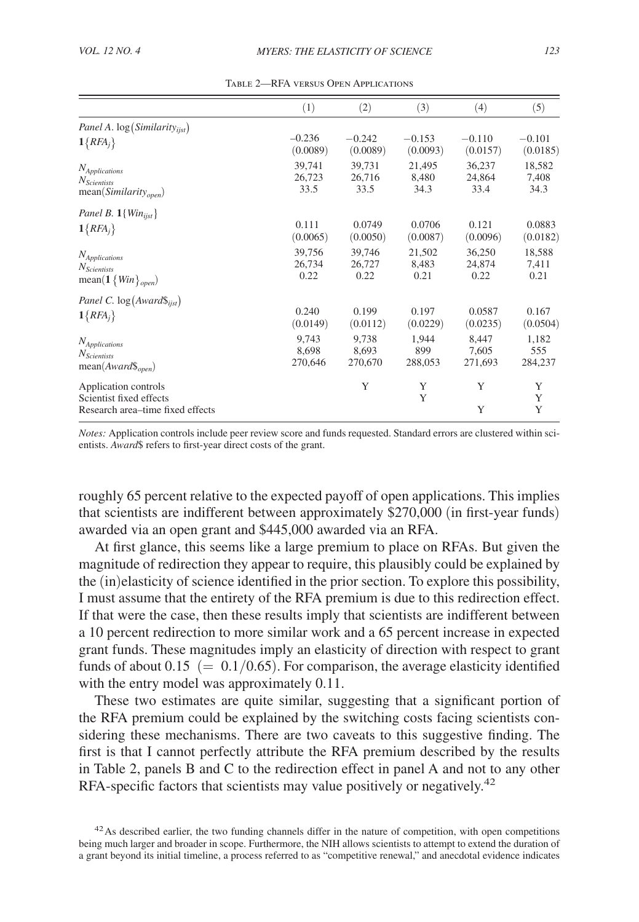|                                                                                     | (1)      | (2)      | (3)      | (4)      | (5)         |
|-------------------------------------------------------------------------------------|----------|----------|----------|----------|-------------|
| Panel A. $log(Similarity_{ijst})$                                                   | $-0.236$ | $-0.242$ | $-0.153$ | $-0.110$ | $-0.101$    |
| $1\{RFA_j\}$                                                                        | (0.0089) | (0.0089) | (0.0093) | (0.0157) | (0.0185)    |
| <i>N</i> <sub>Applications</sub>                                                    | 39,741   | 39,731   | 21,495   | 36,237   | 18,582      |
| $N_{Scientists}$                                                                    | 26,723   | 26,716   | 8,480    | 24,864   | 7,408       |
| $mean(Similarity_{open})$                                                           | 33.5     | 33.5     | 34.3     | 33.4     | 34.3        |
| Panel B. $1{Win_{i}}$                                                               | 0.111    | 0.0749   | 0.0706   | 0.121    | 0.0883      |
| $1\{RFA_j\}$                                                                        | (0.0065) | (0.0050) | (0.0087) | (0.0096) | (0.0182)    |
| <b>N</b> Applications                                                               | 39,756   | 39,746   | 21,502   | 36,250   | 18,588      |
| $N_{Scientists}$                                                                    | 26,734   | 26,727   | 8,483    | 24,874   | 7,411       |
| mean(1 { $Win$ } <sub>open</sub> )                                                  | 0.22     | 0.22     | 0.21     | 0.22     | 0.21        |
| Panel C. $log(Award\$ <sub>ijst</sub> )                                             | 0.240    | 0.199    | 0.197    | 0.0587   | 0.167       |
| $1\{RFA_j\}$                                                                        | (0.0149) | (0.0112) | (0.0229) | (0.0235) | (0.0504)    |
| N <sub>Applications</sub>                                                           | 9,743    | 9,738    | 1,944    | 8,447    | 1,182       |
| <i>N</i> <sub>Scientists</sub>                                                      | 8,698    | 8.693    | 899      | 7,605    | 555         |
| $mean(Award\}_{open})$                                                              | 270,646  | 270,670  | 288,053  | 271,693  | 284,237     |
| Application controls<br>Scientist fixed effects<br>Research area–time fixed effects |          | Y        | Y<br>Y   | Y<br>Y   | Y<br>Y<br>Y |

Table 2—RFA versus Open Applications

*Notes:* Application controls include peer review score and funds requested. Standard errors are clustered within scientists. *Award*\$ refers to first-year direct costs of the grant.

roughly 65 percent relative to the expected payoff of open applications. This implies that scientists are indifferent between approximately \$270,000 (in first-year funds) awarded via an open grant and \$445,000 awarded via an RFA.

At first glance, this seems like a large premium to place on RFAs. But given the magnitude of redirection they appear to require, this plausibly could be explained by the (in)elasticity of science identified in the prior section. To explore this possibility, I must assume that the entirety of the RFA premium is due to this redirection effect. If that were the case, then these results imply that scientists are indifferent between a 10 percent redirection to more similar work and a 65 percent increase in expected grant funds. These magnitudes imply an elasticity of direction with respect to grant funds of about 0.15 ( $= 0.1/0.65$ ). For comparison, the average elasticity identified with the entry model was approximately  $0.11$ .

These two estimates are quite similar, suggesting that a significant portion of the RFA premium could be explained by the switching costs facing scientists considering these mechanisms. There are two caveats to this suggestive finding. The first is that I cannot perfectly attribute the RFA premium described by the results in Table 2, panels B and C to the redirection effect in panel A and not to any other RFA-specific factors that scientists may value positively or negatively.<sup>42</sup>

<sup>&</sup>lt;sup>42</sup>As described earlier, the two funding channels differ in the nature of competition, with open competitions being much larger and broader in scope. Furthermore, the NIH allows scientists to attempt to extend the duration of a grant beyond its initial timeline, a process referred to as "competitive renewal," and anecdotal evidence indicates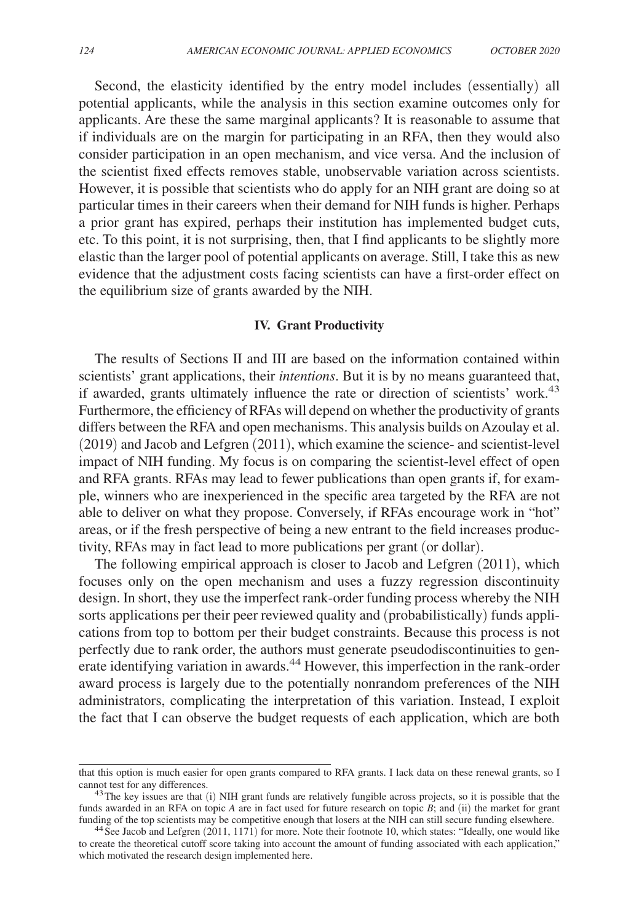Second, the elasticity identified by the entry model includes (essentially) all potential applicants, while the analysis in this section examine outcomes only for applicants. Are these the same marginal applicants? It is reasonable to assume that if individuals are on the margin for participating in an RFA, then they would also consider participation in an open mechanism, and vice versa. And the inclusion of the scientist fixed effects removes stable, unobservable variation across scientists. However, it is possible that scientists who do apply for an NIH grant are doing so at particular times in their careers when their demand for NIH funds is higher. Perhaps a prior grant has expired, perhaps their institution has implemented budget cuts, etc. To this point, it is not surprising, then, that I find applicants to be slightly more elastic than the larger pool of potential applicants on average. Still, I take this as new evidence that the adjustment costs facing scientists can have a first-order effect on the equilibrium size of grants awarded by the NIH.

#### **IV. Grant Productivity**

The results of Sections II and III are based on the information contained within scientists' grant applications, their *intentions*. But it is by no means guaranteed that, if awarded, grants ultimately influence the rate or direction of scientists' work.<sup>43</sup> Furthermore, the efficiency of RFAs will depend on whether the productivity of grants differs between the RFA and open mechanisms. This analysis builds on Azoulay et al. (2019) and Jacob and Lefgren (2011), which examine the science- and scientist-level impact of NIH funding. My focus is on comparing the scientist-level effect of open and RFA grants. RFAs may lead to fewer publications than open grants if, for example, winners who are inexperienced in the specific area targeted by the RFA are not able to deliver on what they propose. Conversely, if RFAs encourage work in "hot" areas, or if the fresh perspective of being a new entrant to the field increases productivity, RFAs may in fact lead to more publications per grant (or dollar).

The following empirical approach is closer to Jacob and Lefgren (2011), which focuses only on the open mechanism and uses a fuzzy regression discontinuity design. In short, they use the imperfect rank-order funding process whereby the NIH sorts applications per their peer reviewed quality and (probabilistically) funds applications from top to bottom per their budget constraints. Because this process is not perfectly due to rank order, the authors must generate pseudodiscontinuities to generate identifying variation in awards.<sup>44</sup> However, this imperfection in the rank-order award process is largely due to the potentially nonrandom preferences of the NIH administrators, complicating the interpretation of this variation. Instead, I exploit the fact that I can observe the budget requests of each application, which are both

that this option is much easier for open grants compared to RFA grants. I lack data on these renewal grants, so I cannot test for any differences.

 $43$ The key issues are that (i) NIH grant funds are relatively fungible across projects, so it is possible that the funds awarded in an RFA on topic  $A$  are in fact used for future research on topic  $B$ ; and (ii) the market for grant funding of the top scientists may be competitive enough that losers at the NIH can still secure funding elsewhere.

<sup>&</sup>lt;sup>44</sup>See Jacob and Lefgren (2011, 1171) for more. Note their footnote 10, which states: "Ideally, one would like to create the theoretical cutoff score taking into account the amount of funding associated with each application," which motivated the research design implemented here.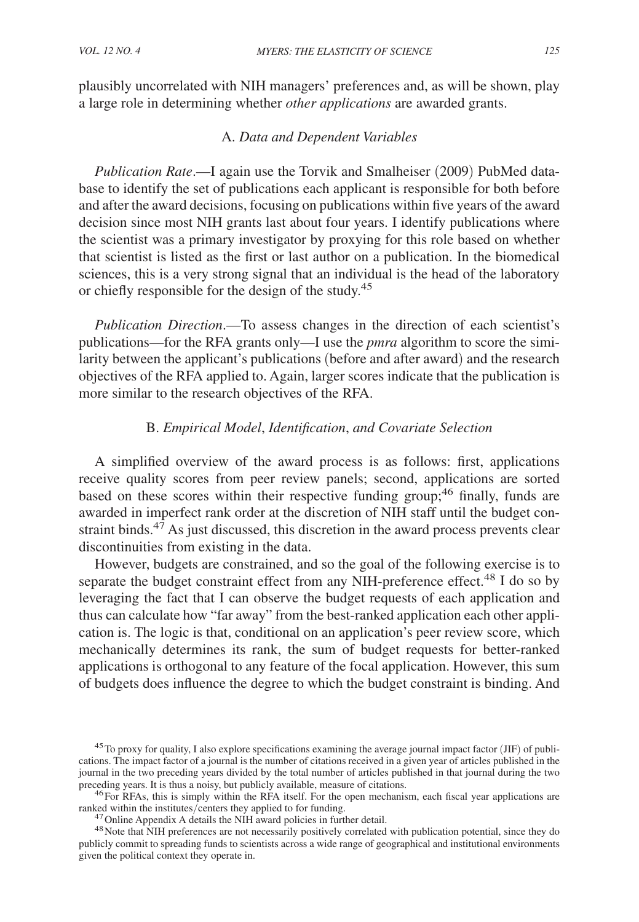plausibly uncorrelated with NIH managers' preferences and, as will be shown, play a large role in determining whether *other applications* are awarded grants.

## A. *Data and Dependent Variables*

*Publication Rate*.—I again use the Torvik and Smalheiser (2009) PubMed database to identify the set of publications each applicant is responsible for both before and after the award decisions, focusing on publications within five years of the award decision since most NIH grants last about four years. I identify publications where the scientist was a primary investigator by proxying for this role based on whether that scientist is listed as the first or last author on a publication. In the biomedical sciences, this is a very strong signal that an individual is the head of the laboratory or chiefly responsible for the design of the study.<sup>45</sup>

*Publication Direction*.—To assess changes in the direction of each scientist's publications—for the RFA grants only—I use the *pmra* algorithm to score the similarity between the applicant's publications (before and after award) and the research objectives of the RFA applied to. Again, larger scores indicate that the publication is more similar to the research objectives of the RFA.

## B. *Empirical Model*, *Identification*, *and Covariate Selection*

A simplified overview of the award process is as follows: first, applications receive quality scores from peer review panels; second, applications are sorted based on these scores within their respective funding group;<sup>46</sup> finally, funds are awarded in imperfect rank order at the discretion of NIH staff until the budget constraint binds. $4^{7}$  As just discussed, this discretion in the award process prevents clear discontinuities from existing in the data.

However, budgets are constrained, and so the goal of the following exercise is to separate the budget constraint effect from any NIH-preference effect.<sup>48</sup> I do so by leveraging the fact that I can observe the budget requests of each application and thus can calculate how "far away" from the best-ranked application each other application is. The logic is that, conditional on an application's peer review score, which mechanically determines its rank, the sum of budget requests for better-ranked applications is orthogonal to any feature of the focal application. However, this sum of budgets does influence the degree to which the budget constraint is binding. And

 $^{45}$ To proxy for quality, I also explore specifications examining the average journal impact factor (JIF) of publications. The impact factor of a journal is the number of citations received in a given year of articles published in the journal in the two preceding years divided by the total number of articles published in that journal during the two preceding years. It is thus a noisy, but publicly available, measure of citations.

<sup>&</sup>lt;sup>46</sup>For RFAs, this is simply within the RFA itself. For the open mechanism, each fiscal year applications are ranked within the institutes/centers they applied to for funding.

<sup>&</sup>lt;sup>47</sup> Online Appendix A details the NIH award policies in further detail.

<sup>&</sup>lt;sup>48</sup>Note that NIH preferences are not necessarily positively correlated with publication potential, since they do publicly commit to spreading funds to scientists across a wide range of geographical and institutional environments given the political context they operate in.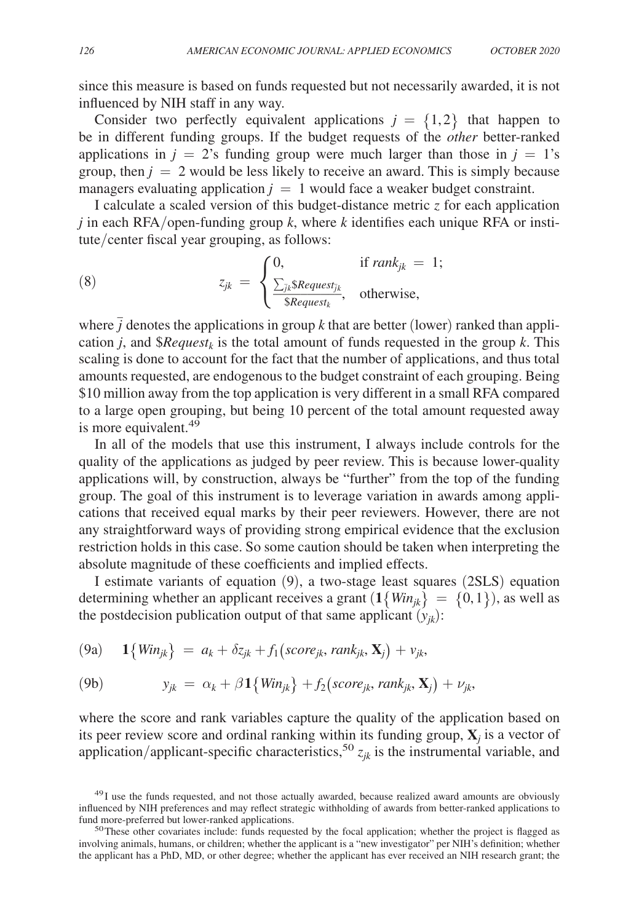since this measure is based on funds requested but not necessarily awarded, it is not influenced by NIH staff in any way.

Consider two perfectly equivalent applications  $j = \{1, 2\}$  that happen to be in different funding groups. If the budget requests of the *other* better-ranked applications in  $j = 2$ 's funding group were much larger than those in  $j = 1$ 's group, then  $j = 2$  would be less likely to receive an award. This is simply because managers evaluating application  $j = 1$  would face a weaker budget constraint.

I calculate a scaled version of this budget-distance metric *z* for each application  $j$  in each RFA/open-funding group  $k$ , where  $k$  identifies each unique RFA or institute/center fiscal year grouping, as follows:  $\frac{1}{2}$ 

(8) 
$$
z_{jk} = \begin{cases} 0, & \text{if } rank_{jk} = 1; \\ \frac{\sum_{jk} \$Request_{jk}}{\$Request_{k}}, & \text{otherwise,} \end{cases}
$$

where  $\bar{j}$  denotes the applications in group *k* that are better (lower) ranked than application *j*, and  $$Request<sub>k</sub>$  is the total amount of funds requested in the group *k*. This scaling is done to account for the fact that the number of applications, and thus total amounts requested, are endogenous to the budget constraint of each grouping. Being \$10 million away from the top application is very different in a small RFA compared to a large open grouping, but being 10 percent of the total amount requested away is more equivalent.<sup>49</sup>

In all of the models that use this instrument, I always include controls for the quality of the applications as judged by peer review. This is because lower-quality applications will, by construction, always be "further" from the top of the funding group. The goal of this instrument is to leverage variation in awards among applications that received equal marks by their peer reviewers. However, there are not any straightforward ways of providing strong empirical evidence that the exclusion restriction holds in this case. So some caution should be taken when interpreting the absolute magnitude of these coefficients and implied effects.

I estimate variants of equation (9), a two-stage least squares (2SLS) equation determining whether an applicant receives a grant  $(1\{Win_{ik}\} = \{0,1\})$ , as well as the postdecision publication output of that same applicant  $(y_{ik})$ :

(9a) 
$$
1\{Win_{jk}\} = a_k + \delta z_{jk} + f_1(score_{jk}, rank_{jk}, X_j) + v_{jk},
$$

(9b) 
$$
y_{jk} = \alpha_k + \beta \mathbf{1}\{ Win_{jk}\} + f_2(score_{jk}, rank_{jk}, \mathbf{X}_j) + \nu_{jk},
$$

where the score and rank variables capture the quality of the application based on its peer review score and ordinal ranking within its funding group,  $X_j$  is a vector of application/applicant-specific characteristics,<sup>50</sup>  $z_{jk}$  is the instrumental variable, and

<sup>&</sup>lt;sup>49</sup>I use the funds requested, and not those actually awarded, because realized award amounts are obviously influenced by NIH preferences and may reflect strategic withholding of awards from better-ranked applications to fund more-preferred but lower-ranked applications.

<sup>&</sup>lt;sup>50</sup>These other covariates include: funds requested by the focal application; whether the project is flagged as involving animals, humans, or children; whether the applicant is a "new investigator" per NIH's definition; whether the applicant has a PhD, MD, or other degree; whether the applicant has ever received an NIH research grant; the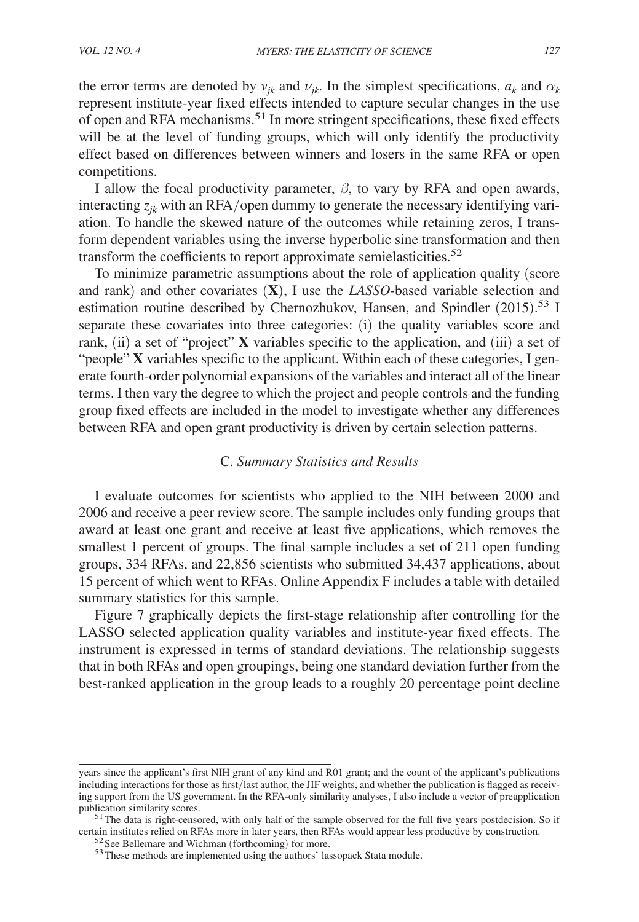the error terms are denoted by  $v_{jk}$  and  $v_{jk}$ . In the simplest specifications,  $a_k$  and  $\alpha_k$ represent institute-year fixed effects intended to capture secular changes in the use of open and RFA mechanisms.51 In more stringent specifications, these fixed effects will be at the level of funding groups, which will only identify the productivity effect based on differences between winners and losers in the same RFA or open competitions.

I allow the focal productivity parameter,  $\beta$ , to vary by RFA and open awards, interacting  $z_{ik}$  with an RFA/open dummy to generate the necessary identifying variation. To handle the skewed nature of the outcomes while retaining zeros, I transform dependent variables using the inverse hyperbolic sine transformation and then transform the coefficients to report approximate semielasticities.<sup>52</sup>

To minimize parametric assumptions about the role of application quality (score and rank) and other covariates  $(X)$ , I use the *LASSO*-based variable selection and estimation routine described by Chernozhukov, Hansen, and Spindler (2015).<sup>53</sup> I separate these covariates into three categories: (i) the quality variables score and rank, (ii) a set of "project"  $X$  variables specific to the application, and (iii) a set of "people" **X** variables specific to the applicant. Within each of these categories, I generate fourth-order polynomial expansions of the variables and interact all of the linear terms. I then vary the degree to which the project and people controls and the funding group fixed effects are included in the model to investigate whether any differences between RFA and open grant productivity is driven by certain selection patterns.

# C. *Summary Statistics and Results*

I evaluate outcomes for scientists who applied to the NIH between 2000 and 2006 and receive a peer review score. The sample includes only funding groups that award at least one grant and receive at least five applications, which removes the smallest 1 percent of groups. The final sample includes a set of 211 open funding groups, 334 RFAs, and 22,856 scientists who submitted 34,437 applications, about 15 percent of which went to RFAs. Online Appendix F includes a table with detailed summary statistics for this sample.

Figure 7 graphically depicts the first-stage relationship after controlling for the LASSO selected application quality variables and institute-year fixed effects. The instrument is expressed in terms of standard deviations. The relationship suggests that in both RFAs and open groupings, being one standard deviation further from the best-ranked application in the group leads to a roughly 20 percentage point decline

years since the applicant's first NIH grant of any kind and R01 grant; and the count of the applicant's publications including interactions for those as first/last author, the JIF weights, and whether the publication is flagged as receiving support from the US government. In the RFA-only similarity analyses, I also include a vector of preapplication publication similarity scores.

 $51$ The data is right-censored, with only half of the sample observed for the full five years postdecision. So if certain institutes relied on RFAs more in later years, then RFAs would appear less productive by construction.

<sup>52</sup> See Bellemare and Wichman (forthcoming) for more.

<sup>&</sup>lt;sup>53</sup>These methods are implemented using the authors' lassopack Stata module.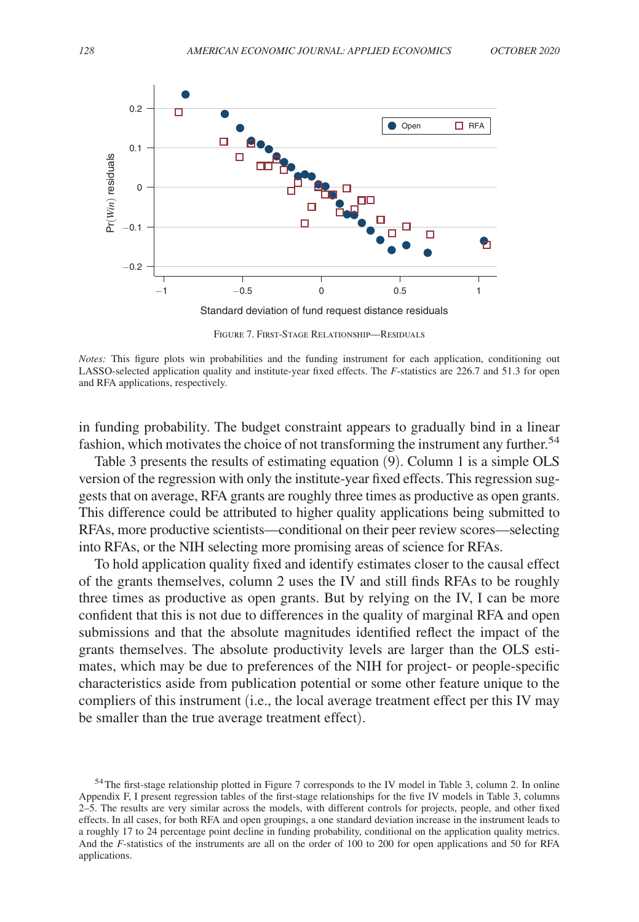

Figure 7. First-Stage Relationship—Residuals

*Notes:* This figure plots win probabilities and the funding instrument for each application, conditioning out LASSO-selected application quality and institute-year fixed effects. The *F*-statistics are 226.7 and 51.3 for open and RFA applications, respectively.

in funding probability. The budget constraint appears to gradually bind in a linear fashion, which motivates the choice of not transforming the instrument any further.<sup>54</sup>

Table 3 presents the results of estimating equation (9). Column 1 is a simple OLS version of the regression with only the institute-year fixed effects. This regression suggests that on average, RFA grants are roughly three times as productive as open grants. This difference could be attributed to higher quality applications being submitted to RFAs, more productive scientists—conditional on their peer review scores—selecting into RFAs, or the NIH selecting more promising areas of science for RFAs.

To hold application quality fixed and identify estimates closer to the causal effect of the grants themselves, column 2 uses the IV and still finds RFAs to be roughly three times as productive as open grants. But by relying on the IV, I can be more confident that this is not due to differences in the quality of marginal RFA and open submissions and that the absolute magnitudes identified reflect the impact of the grants themselves. The absolute productivity levels are larger than the OLS estimates, which may be due to preferences of the NIH for project- or people-specific characteristics aside from publication potential or some other feature unique to the compliers of this instrument (i.e., the local average treatment effect per this IV may be smaller than the true average treatment effect).

<sup>&</sup>lt;sup>54</sup>The first-stage relationship plotted in Figure 7 corresponds to the IV model in Table 3, column 2. In online Appendix F, I present regression tables of the first-stage relationships for the five IV models in Table 3, columns 2–5. The results are very similar across the models, with different controls for projects, people, and other fixed effects. In all cases, for both RFA and open groupings, a one standard deviation increase in the instrument leads to a roughly 17 to 24 percentage point decline in funding probability, conditional on the application quality metrics. And the *F*-statistics of the instruments are all on the order of 100 to 200 for open applications and 50 for RFA applications.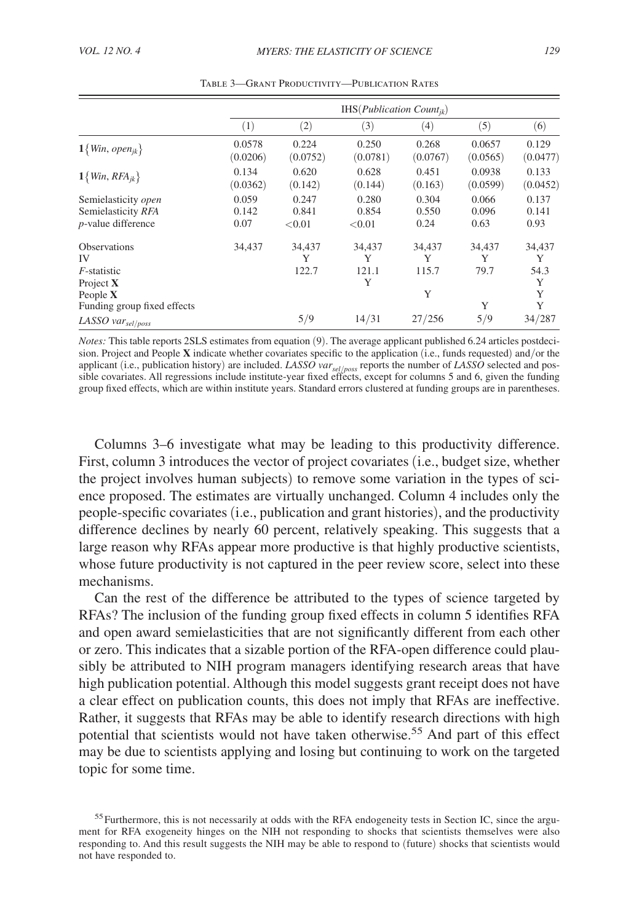|                                                                     | $IHS(Publication Count_{ik})$ |                             |                           |                        |                        |                          |
|---------------------------------------------------------------------|-------------------------------|-----------------------------|---------------------------|------------------------|------------------------|--------------------------|
|                                                                     | (1)                           | (2)                         | (3)                       | (4)                    | (5)                    | (6)                      |
| $1\{Win, open_{jk}\}\$                                              | 0.0578<br>(0.0206)            | 0.224<br>(0.0752)           | 0.250<br>(0.0781)         | 0.268<br>(0.0767)      | 0.0657<br>(0.0565)     | 0.129<br>(0.0477)        |
| $1\{Win, RFA_{jk}\}$                                                | 0.134<br>(0.0362)             | 0.620<br>(0.142)            | 0.628<br>(0.144)          | 0.451<br>(0.163)       | 0.0938<br>(0.0599)     | 0.133<br>(0.0452)        |
| Semielasticity open<br>Semielasticity RFA<br>$p$ -value difference  | 0.059<br>0.142<br>0.07        | 0.247<br>0.841<br>${<}0.01$ | 0.280<br>0.854<br>< 0.01  | 0.304<br>0.550<br>0.24 | 0.066<br>0.096<br>0.63 | 0.137<br>0.141<br>0.93   |
| <b>Observations</b><br>IV<br><i>F</i> -statistic<br>Project $X$     | 34,437                        | 34,437<br>Y<br>122.7        | 34,437<br>Y<br>121.1<br>Y | 34,437<br>Y<br>115.7   | 34,437<br>Y<br>79.7    | 34,437<br>Y<br>54.3<br>Y |
| People $X$<br>Funding group fixed effects<br>LASSO $var_{sel/poss}$ |                               | 5/9                         | 14/31                     | Y<br>27/256            | Y<br>5/9               | Y<br>Y<br>34/287         |

Table 3—Grant Productivity—Publication Rates

*Notes:* This table reports 2SLS estimates from equation (9). The average applicant published 6.24 articles postdecision. Project and People  $X$  indicate whether covariates specific to the application (i.e., funds requested) and/or the applicant (i.e., publication history) are included. *LASSO var sel*/*poss* reports the number of *LASSO* selected and possible covariates. All regressions include institute-year fixed effects, except for columns 5 and 6, given the funding group fixed effects, which are within institute years. Standard errors clustered at funding groups are in parentheses.

Columns 3–6 investigate what may be leading to this productivity difference. First, column 3 introduces the vector of project covariates (i.e., budget size, whether the project involves human subjects) to remove some variation in the types of science proposed. The estimates are virtually unchanged. Column 4 includes only the people-specific covariates (i.e., publication and grant histories), and the productivity difference declines by nearly 60 percent, relatively speaking. This suggests that a large reason why RFAs appear more productive is that highly productive scientists, whose future productivity is not captured in the peer review score, select into these mechanisms.

Can the rest of the difference be attributed to the types of science targeted by RFAs? The inclusion of the funding group fixed effects in column 5 identifies RFA and open award semielasticities that are not significantly different from each other or zero. This indicates that a sizable portion of the RFA-open difference could plausibly be attributed to NIH program managers identifying research areas that have high publication potential. Although this model suggests grant receipt does not have a clear effect on publication counts, this does not imply that RFAs are ineffective. Rather, it suggests that RFAs may be able to identify research directions with high potential that scientists would not have taken otherwise.55 And part of this effect may be due to scientists applying and losing but continuing to work on the targeted topic for some time.

<sup>&</sup>lt;sup>55</sup> Furthermore, this is not necessarily at odds with the RFA endogeneity tests in Section IC, since the argument for RFA exogeneity hinges on the NIH not responding to shocks that scientists themselves were also responding to. And this result suggests the NIH may be able to respond to (future) shocks that scientists would not have responded to.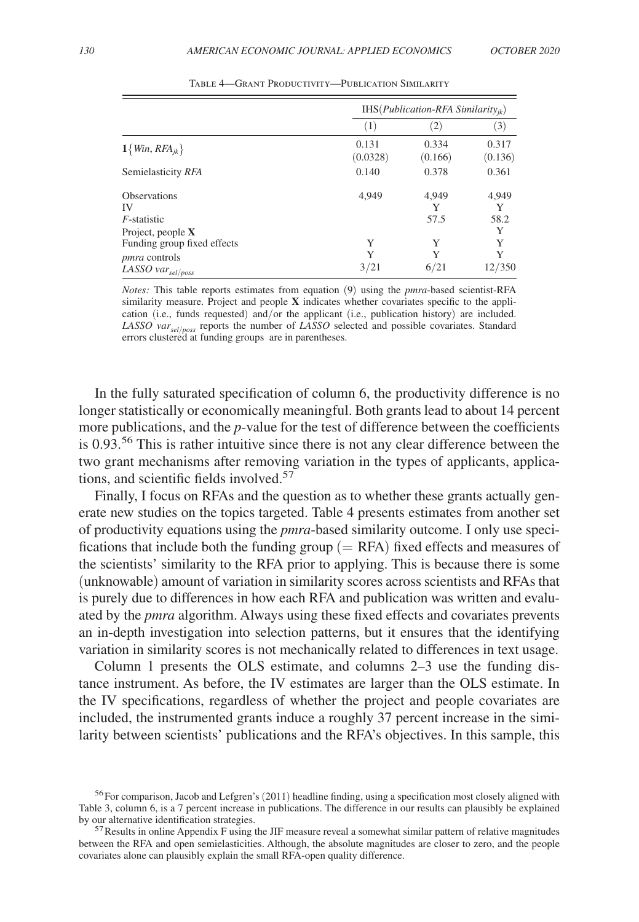|                                                     |                   | IHS( $Publication$ -RFA Similarity <sub>ik</sub> ) |                  |  |  |
|-----------------------------------------------------|-------------------|----------------------------------------------------|------------------|--|--|
|                                                     | (1)               | $\left( 2\right)$                                  | (3)              |  |  |
| $1\{Win, RFA_{jk}\}\$                               | 0.131<br>(0.0328) | 0.334<br>(0.166)                                   | 0.317<br>(0.136) |  |  |
| Semielasticity RFA                                  | 0.140             | 0.378                                              | 0.361            |  |  |
| <b>Observations</b><br>IV                           | 4.949             | 4.949<br>Y                                         | 4,949<br>Y       |  |  |
| $F$ -statistic<br>Project, people $X$               |                   | 57.5                                               | 58.2<br>Y        |  |  |
| Funding group fixed effects<br><i>pmra</i> controls | Y<br>Y            | Y<br>Y                                             | Y<br>Y<br>12/350 |  |  |
| LASSO $var_{sel/poss}$                              | 3/21              | 6/21                                               |                  |  |  |

Table 4—Grant Productivity—Publication Similarity

*Notes:* This table reports estimates from equation (9) using the *pmra* -based scientist-RFA similarity measure. Project and people  $X$  indicates whether covariates specific to the application (i.e., funds requested) and/or the applicant (i.e., publication history) are included. *LASSO var<sub>sel/poss*</sub> reports the number of *LASSO* selected and possible covariates. Standard errors clustered at funding groups are in parentheses.

In the fully saturated specification of column 6, the productivity difference is no longer statistically or economically meaningful. Both grants lead to about 14 percent more publications, and the *p*-value for the test of difference between the coefficients is 0.93.<sup>56</sup> This is rather intuitive since there is not any clear difference between the two grant mechanisms after removing variation in the types of applicants, applications, and scientific fields involved.<sup>57</sup>

Finally, I focus on RFAs and the question as to whether these grants actually generate new studies on the topics targeted. Table 4 presents estimates from another set of productivity equations using the *pmra* -based similarity outcome. I only use specifications that include both the funding group  $(= RFA)$  fixed effects and measures of the scientists' similarity to the RFA prior to applying. This is because there is some (unknowable) amount of variation in similarity scores across scientists and RFAs that is purely due to differences in how each RFA and publication was written and evaluated by the *pmra* algorithm. Always using these fixed effects and covariates prevents an in-depth investigation into selection patterns, but it ensures that the identifying variation in similarity scores is not mechanically related to differences in text usage.

Column 1 presents the OLS estimate, and columns 2–3 use the funding distance instrument. As before, the IV estimates are larger than the OLS estimate. In the IV specifications, regardless of whether the project and people covariates are included, the instrumented grants induce a roughly 37 percent increase in the similarity between scientists' publications and the RFA's objectives. In this sample, this

<sup>&</sup>lt;sup>56</sup>For comparison, Jacob and Lefgren's (2011) headline finding, using a specification most closely aligned with Table 3, column 6, is a 7 percent increase in publications. The difference in our results can plausibly be explained by our alternative identification strategies.

 $57$  Results in online Appendix F using the JIF measure reveal a somewhat similar pattern of relative magnitudes between the RFA and open semielasticities. Although, the absolute magnitudes are closer to zero, and the people covariates alone can plausibly explain the small RFA-open quality difference.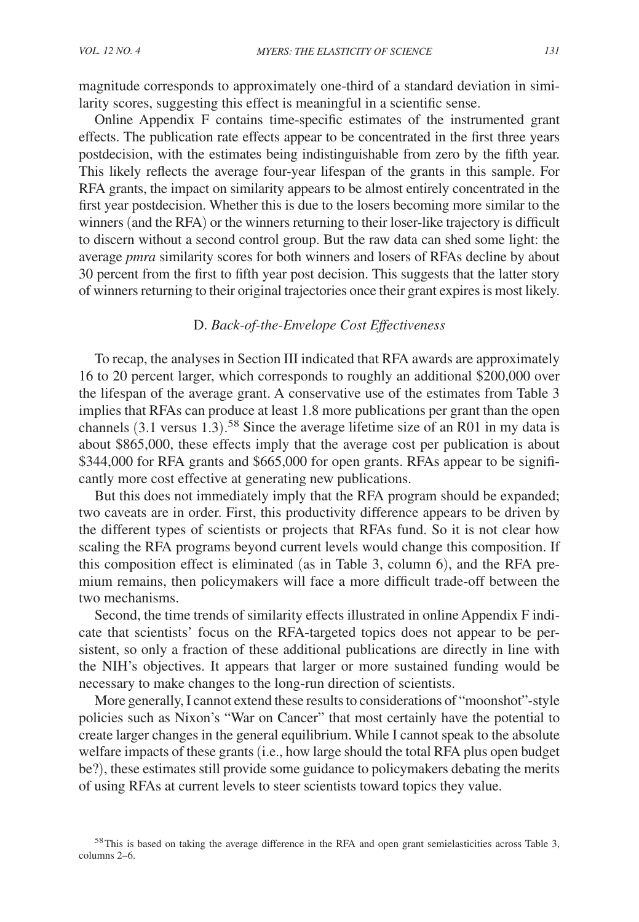magnitude corresponds to approximately one-third of a standard deviation in similarity scores, suggesting this effect is meaningful in a scientific sense.

Online Appendix F contains time-specific estimates of the instrumented grant effects. The publication rate effects appear to be concentrated in the first three years postdecision, with the estimates being indistinguishable from zero by the fifth year. This likely reflects the average four-year lifespan of the grants in this sample. For RFA grants, the impact on similarity appears to be almost entirely concentrated in the first year postdecision. Whether this is due to the losers becoming more similar to the winners (and the RFA) or the winners returning to their loser-like trajectory is difficult to discern without a second control group. But the raw data can shed some light: the average *pmra* similarity scores for both winners and losers of RFAs decline by about 30 percent from the first to fifth year post decision. This suggests that the latter story of winners returning to their original trajectories once their grant expires is most likely.

#### D. *Back-of-the-Envelope Cost Effectiveness*

To recap, the analyses in Section III indicated that RFA awards are approximately 16 to 20 percent larger, which corresponds to roughly an additional \$200,000 over the lifespan of the average grant. A conservative use of the estimates from Table 3 implies that RFAs can produce at least 1.8 more publications per grant than the open channels (3.1 versus 1.3). <sup>58</sup> Since the average lifetime size of an R01 in my data is about \$865,000, these effects imply that the average cost per publication is about \$344,000 for RFA grants and \$665,000 for open grants. RFAs appear to be significantly more cost effective at generating new publications.

But this does not immediately imply that the RFA program should be expanded; two caveats are in order. First, this productivity difference appears to be driven by the different types of scientists or projects that RFAs fund. So it is not clear how scaling the RFA programs beyond current levels would change this composition. If this composition effect is eliminated (as in Table 3, column 6), and the RFA premium remains, then policymakers will face a more difficult trade-off between the two mechanisms.

Second, the time trends of similarity effects illustrated in online Appendix F indicate that scientists' focus on the RFA-targeted topics does not appear to be persistent, so only a fraction of these additional publications are directly in line with the NIH's objectives. It appears that larger or more sustained funding would be necessary to make changes to the long-run direction of scientists.

More generally, I cannot extend these results to considerations of "moonshot"-style policies such as Nixon's "War on Cancer" that most certainly have the potential to create larger changes in the general equilibrium. While I cannot speak to the absolute welfare impacts of these grants (i.e., how large should the total RFA plus open budget be?), these estimates still provide some guidance to policymakers debating the merits of using RFAs at current levels to steer scientists toward topics they value.

<sup>&</sup>lt;sup>58</sup>This is based on taking the average difference in the RFA and open grant semielasticities across Table 3, columns 2–6.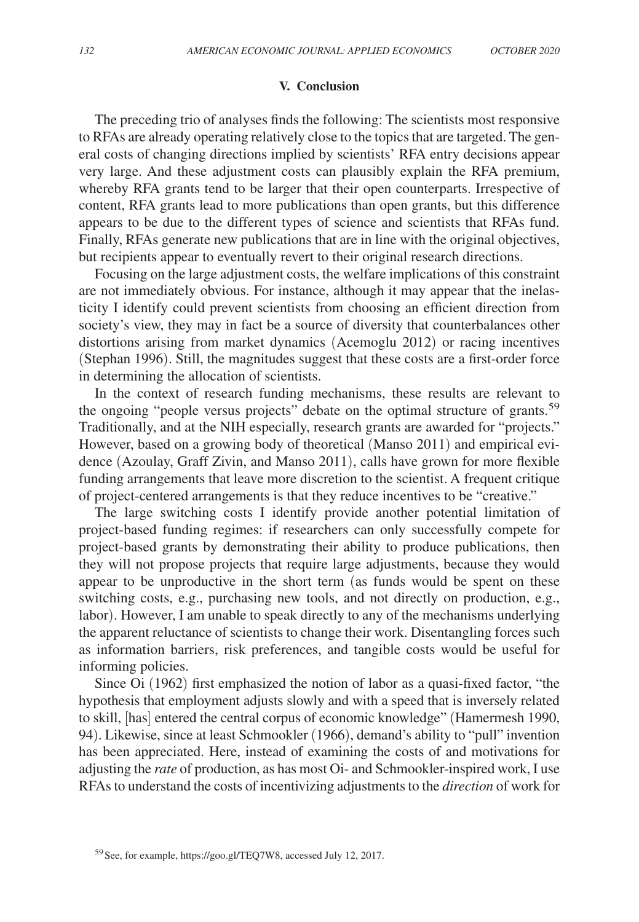#### **V. Conclusion**

The preceding trio of analyses finds the following: The scientists most responsive to RFAs are already operating relatively close to the topics that are targeted. The general costs of changing directions implied by scientists' RFA entry decisions appear very large. And these adjustment costs can plausibly explain the RFA premium, whereby RFA grants tend to be larger that their open counterparts. Irrespective of content, RFA grants lead to more publications than open grants, but this difference appears to be due to the different types of science and scientists that RFAs fund. Finally, RFAs generate new publications that are in line with the original objectives, but recipients appear to eventually revert to their original research directions.

Focusing on the large adjustment costs, the welfare implications of this constraint are not immediately obvious. For instance, although it may appear that the inelasticity I identify could prevent scientists from choosing an efficient direction from society's view, they may in fact be a source of diversity that counterbalances other distortions arising from market dynamics (Acemoglu 2012) or racing incentives (Stephan 1996). Still, the magnitudes suggest that these costs are a first-order force in determining the allocation of scientists.

In the context of research funding mechanisms, these results are relevant to the ongoing "people versus projects" debate on the optimal structure of grants.<sup>59</sup> Traditionally, and at the NIH especially, research grants are awarded for "projects." However, based on a growing body of theoretical (Manso 2011) and empirical evidence (Azoulay, Graff Zivin, and Manso 2011), calls have grown for more flexible funding arrangements that leave more discretion to the scientist. A frequent critique of project-centered arrangements is that they reduce incentives to be "creative."

The large switching costs I identify provide another potential limitation of project-based funding regimes: if researchers can only successfully compete for project-based grants by demonstrating their ability to produce publications, then they will not propose projects that require large adjustments, because they would appear to be unproductive in the short term (as funds would be spent on these switching costs, e.g., purchasing new tools, and not directly on production, e.g., labor). However, I am unable to speak directly to any of the mechanisms underlying the apparent reluctance of scientists to change their work. Disentangling forces such as information barriers, risk preferences, and tangible costs would be useful for informing policies.

Since Oi (1962) first emphasized the notion of labor as a quasi-fixed factor, "the hypothesis that employment adjusts slowly and with a speed that is inversely related to skill, [has] entered the central corpus of economic knowledge" (Hamermesh 1990, 94). Likewise, since at least Schmookler (1966), demand's ability to "pull" invention has been appreciated. Here, instead of examining the costs of and motivations for adjusting the *rate* of production, as has most Oi- and Schmookler-inspired work, I use RFAs to understand the costs of incentivizing adjustments to the *direction* of work for

<sup>59</sup>See, for example, https://goo.gl/TEQ7W8, accessed July 12, 2017.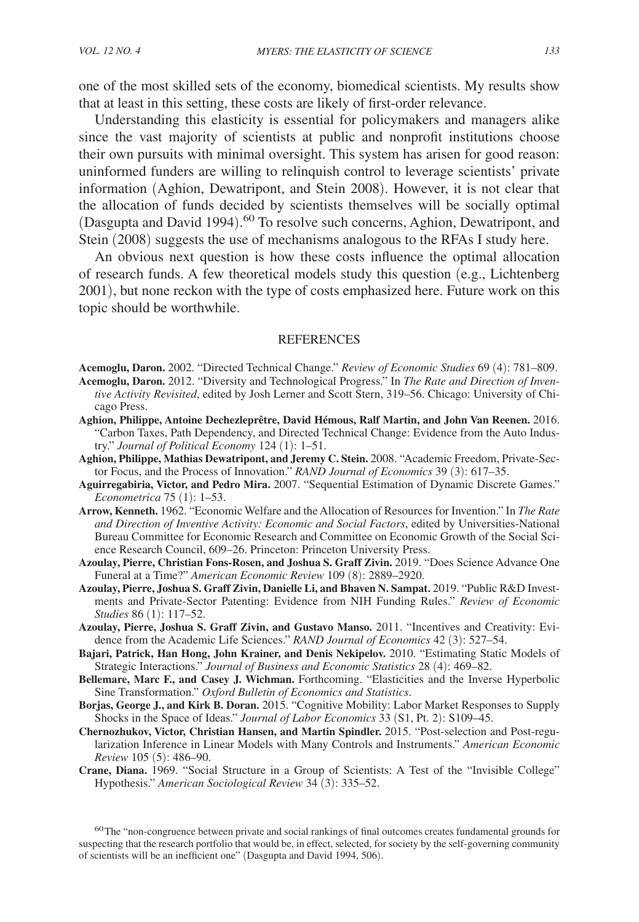one of the most skilled sets of the economy, biomedical scientists. My results show that at least in this setting, these costs are likely of first-order relevance.

Understanding this elasticity is essential for policymakers and managers alike since the vast majority of scientists at public and nonprofit institutions choose their own pursuits with minimal oversight. This system has arisen for good reason: uninformed funders are willing to relinquish control to leverage scientists' private information (Aghion, Dewatripont, and Stein 2008). However, it is not clear that the allocation of funds decided by scientists themselves will be socially optimal (Dasgupta and David 1994). <sup>60</sup> To resolve such concerns, Aghion, Dewatripont, and Stein (2008) suggests the use of mechanisms analogous to the RFAs I study here.

An obvious next question is how these costs influence the optimal allocation of research funds. A few theoretical models study this question (e.g., Lichtenberg 2001), but none reckon with the type of costs emphasized here. Future work on this topic should be worthwhile.

#### **REFERENCES**

**Acemoglu, Daron.** 2002. "Directed Technical Change." *Review of Economic Studies* 69 (4): 781–809. **Acemoglu, Daron.** 2012. "Diversity and Technological Progress." In *The Rate and Direction of Inven-*

- *tive Activity Revisited*, edited by Josh Lerner and Scott Stern, 319–56. Chicago: University of Chicago Press.
- **Aghion, Philippe, Antoine Dechezleprêtre, David Hémous, Ralf Martin, and John Van Reenen.** 2016. "Carbon Taxes, Path Dependency, and Directed Technical Change: Evidence from the Auto Industry." *Journal of Political Economy* 124 (1): 1–51.
- **Aghion, Philippe, Mathias Dewatripont, and Jeremy C. Stein.** 2008. "Academic Freedom, Private-Sector Focus, and the Process of Innovation." *RAND Journal of Economics* 39 (3): 617–35.
- **Aguirregabiria, Victor, and Pedro Mira.** 2007. "Sequential Estimation of Dynamic Discrete Games." *Econometrica* 75 (1): 1–53.
- **Arrow, Kenneth.** 1962. "Economic Welfare and the Allocation of Resources for Invention." In *The Rate and Direction of Inventive Activity: Economic and Social Factors*, edited by Universities-National Bureau Committee for Economic Research and Committee on Economic Growth of the Social Science Research Council, 609–26. Princeton: Princeton University Press.
- **Azoulay, Pierre, Christian Fons-Rosen, and Joshua S. Graff Zivin.** 2019. "Does Science Advance One Funeral at a Time?" *American Economic Review* 109 (8): 2889–2920.
- **Azoulay, Pierre, Joshua S. Graff Zivin, Danielle Li, and Bhaven N. Sampat.** 2019. "Public R&D Investments and Private-Sector Patenting: Evidence from NIH Funding Rules." *Review of Economic Studies* 86 (1): 117–52.
- **Azoulay, Pierre, Joshua S. Graff Zivin, and Gustavo Manso.** 2011. "Incentives and Creativity: Evidence from the Academic Life Sciences." *RAND Journal of Economics* 42 (3): 527–54.
- **Bajari, Patrick, Han Hong, John Krainer, and Denis Nekipelov.** 2010. "Estimating Static Models of Strategic Interactions." *Journal of Business and Economic Statistics* 28 (4): 469–82.
- **Bellemare, Marc F., and Casey J. Wichman.** Forthcoming. "Elasticities and the Inverse Hyperbolic Sine Transformation." *Oxford Bulletin of Economics and Statistics*.
- **Borjas, George J., and Kirk B. Doran.** 2015. "Cognitive Mobility: Labor Market Responses to Supply Shocks in the Space of Ideas." *Journal of Labor Economics* 33 (S1, Pt. 2): S109–45.
- **Chernozhukov, Victor, Christian Hansen, and Martin Spindler.** 2015. "Post-selection and Post-regularization Inference in Linear Models with Many Controls and Instruments." *American Economic Review* 105 (5): 486–90.
- **Crane, Diana.** 1969. "Social Structure in a Group of Scientists: A Test of the "Invisible College" Hypothesis." *American Sociological Review* 34 (3): 335–52.

<sup>60</sup>The "non-congruence between private and social rankings of final outcomes creates fundamental grounds for suspecting that the research portfolio that would be, in effect, selected, for society by the self-governing community of scientists will be an inefficient one" (Dasgupta and David 1994, 506).